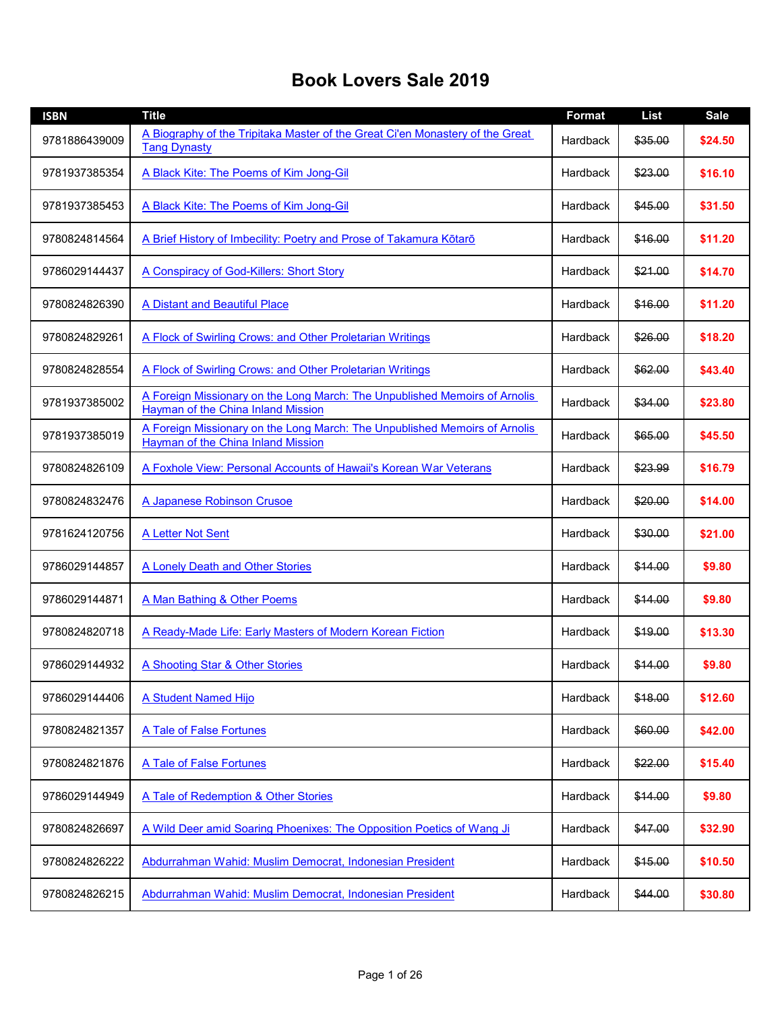## **Book Lovers Sale 2019**

| <b>ISBN</b>   | <b>Title</b>                                                                                                            | <b>Format</b> | <b>List</b> | <b>Sale</b> |
|---------------|-------------------------------------------------------------------------------------------------------------------------|---------------|-------------|-------------|
| 9781886439009 | A Biography of the Tripitaka Master of the Great Ci'en Monastery of the Great<br><b>Tang Dynasty</b>                    | Hardback      | \$35.00     | \$24.50     |
| 9781937385354 | A Black Kite: The Poems of Kim Jong-Gil                                                                                 | Hardback      | \$23.00     | \$16.10     |
| 9781937385453 | A Black Kite: The Poems of Kim Jong-Gil                                                                                 | Hardback      | \$45.00     | \$31.50     |
| 9780824814564 | A Brief History of Imbecility: Poetry and Prose of Takamura Kōtarō                                                      | Hardback      | \$16.00     | \$11.20     |
| 9786029144437 | A Conspiracy of God-Killers: Short Story                                                                                | Hardback      | \$21.00     | \$14.70     |
| 9780824826390 | A Distant and Beautiful Place                                                                                           | Hardback      | \$16.00     | \$11.20     |
| 9780824829261 | A Flock of Swirling Crows: and Other Proletarian Writings                                                               | Hardback      | \$26.00     | \$18.20     |
| 9780824828554 | A Flock of Swirling Crows: and Other Proletarian Writings                                                               | Hardback      | \$62.00     | \$43.40     |
| 9781937385002 | A Foreign Missionary on the Long March: The Unpublished Memoirs of Arnolis<br>Hayman of the China Inland Mission        | Hardback      | \$34.00     | \$23.80     |
| 9781937385019 | A Foreign Missionary on the Long March: The Unpublished Memoirs of Arnolis<br><b>Hayman of the China Inland Mission</b> | Hardback      | \$65.00     | \$45.50     |
| 9780824826109 | A Foxhole View: Personal Accounts of Hawaii's Korean War Veterans                                                       | Hardback      | \$23.99     | \$16.79     |
| 9780824832476 | A Japanese Robinson Crusoe                                                                                              | Hardback      | \$20.00     | \$14.00     |
| 9781624120756 | A Letter Not Sent                                                                                                       | Hardback      | \$30.00     | \$21.00     |
| 9786029144857 | A Lonely Death and Other Stories                                                                                        | Hardback      | \$14.00     | \$9.80      |
| 9786029144871 | A Man Bathing & Other Poems                                                                                             | Hardback      | \$14.00     | \$9.80      |
| 9780824820718 | A Ready-Made Life: Early Masters of Modern Korean Fiction                                                               | Hardback      | \$19.00     | \$13.30     |
| 9786029144932 | A Shooting Star & Other Stories                                                                                         | Hardback      | \$14.00     | \$9.80      |
| 9786029144406 | A Student Named Hijo                                                                                                    | Hardback      | \$18.00     | \$12.60     |
| 9780824821357 | A Tale of False Fortunes                                                                                                | Hardback      | \$60.00     | \$42.00     |
| 9780824821876 | A Tale of False Fortunes                                                                                                | Hardback      | \$22.00     | \$15.40     |
| 9786029144949 | A Tale of Redemption & Other Stories                                                                                    | Hardback      | \$14.00     | \$9.80      |
| 9780824826697 | A Wild Deer amid Soaring Phoenixes: The Opposition Poetics of Wang Ji                                                   | Hardback      | \$47.00     | \$32.90     |
| 9780824826222 | Abdurrahman Wahid: Muslim Democrat, Indonesian President                                                                | Hardback      | \$15.00     | \$10.50     |
| 9780824826215 | Abdurrahman Wahid: Muslim Democrat, Indonesian President                                                                | Hardback      | \$44.00     | \$30.80     |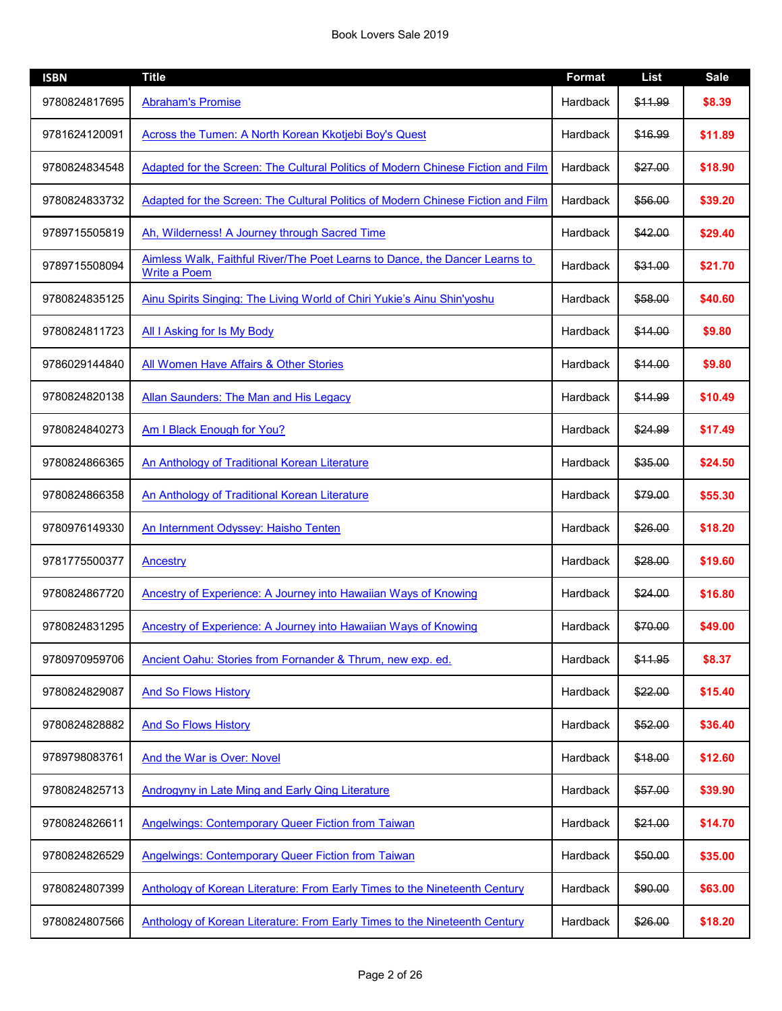| <b>ISBN</b>   | <b>Title</b>                                                                                       | <b>Format</b> | <b>List</b> | <b>Sale</b> |
|---------------|----------------------------------------------------------------------------------------------------|---------------|-------------|-------------|
| 9780824817695 | <b>Abraham's Promise</b>                                                                           | Hardback      | \$11.99     | \$8.39      |
| 9781624120091 | Across the Tumen: A North Korean Kkotjebi Boy's Quest                                              | Hardback      | \$16.99     | \$11.89     |
| 9780824834548 | Adapted for the Screen: The Cultural Politics of Modern Chinese Fiction and Film                   | Hardback      | \$27.00     | \$18.90     |
| 9780824833732 | Adapted for the Screen: The Cultural Politics of Modern Chinese Fiction and Film                   | Hardback      | \$56.00     | \$39.20     |
| 9789715505819 | Ah, Wilderness! A Journey through Sacred Time                                                      | Hardback      | \$42.00     | \$29.40     |
| 9789715508094 | Aimless Walk, Faithful River/The Poet Learns to Dance, the Dancer Learns to<br><b>Write a Poem</b> | Hardback      | \$31.00     | \$21.70     |
| 9780824835125 | Ainu Spirits Singing: The Living World of Chiri Yukie's Ainu Shin'yoshu                            | Hardback      | \$58.00     | \$40.60     |
| 9780824811723 | <b>All I Asking for Is My Body</b>                                                                 | Hardback      | \$14.00     | \$9.80      |
| 9786029144840 | <b>All Women Have Affairs &amp; Other Stories</b>                                                  | Hardback      | \$14.00     | \$9.80      |
| 9780824820138 | <b>Allan Saunders: The Man and His Legacy</b>                                                      | Hardback      | \$14.99     | \$10.49     |
| 9780824840273 | Am I Black Enough for You?                                                                         | Hardback      | \$24.99     | \$17.49     |
| 9780824866365 | An Anthology of Traditional Korean Literature                                                      | Hardback      | \$35.00     | \$24.50     |
| 9780824866358 | An Anthology of Traditional Korean Literature                                                      | Hardback      | \$79.00     | \$55.30     |
| 9780976149330 | An Internment Odyssey: Haisho Tenten                                                               | Hardback      | \$26.00     | \$18.20     |
| 9781775500377 | <b>Ancestry</b>                                                                                    | Hardback      | \$28.00     | \$19.60     |
| 9780824867720 | Ancestry of Experience: A Journey into Hawaiian Ways of Knowing                                    | Hardback      | \$24.00     | \$16.80     |
| 9780824831295 | Ancestry of Experience: A Journey into Hawaiian Ways of Knowing                                    | Hardback      | \$70.00     | \$49.00     |
| 9780970959706 | Ancient Oahu: Stories from Fornander & Thrum, new exp. ed.                                         | Hardback      | \$11.95     | \$8.37      |
| 9780824829087 | <b>And So Flows History</b>                                                                        | Hardback      | \$22.00     | \$15.40     |
| 9780824828882 | <b>And So Flows History</b>                                                                        | Hardback      | \$52.00     | \$36.40     |
| 9789798083761 | <b>And the War is Over: Novel</b>                                                                  | Hardback      | \$18.00     | \$12.60     |
| 9780824825713 | <b>Androgyny in Late Ming and Early Qing Literature</b>                                            | Hardback      | \$57.00     | \$39.90     |
| 9780824826611 | <b>Angelwings: Contemporary Queer Fiction from Taiwan</b>                                          | Hardback      | \$21.00     | \$14.70     |
| 9780824826529 | <b>Angelwings: Contemporary Queer Fiction from Taiwan</b>                                          | Hardback      | \$50.00     | \$35.00     |
| 9780824807399 | Anthology of Korean Literature: From Early Times to the Nineteenth Century                         | Hardback      | \$90.00     | \$63.00     |
| 9780824807566 | Anthology of Korean Literature: From Early Times to the Nineteenth Century                         | Hardback      | \$26.00     | \$18.20     |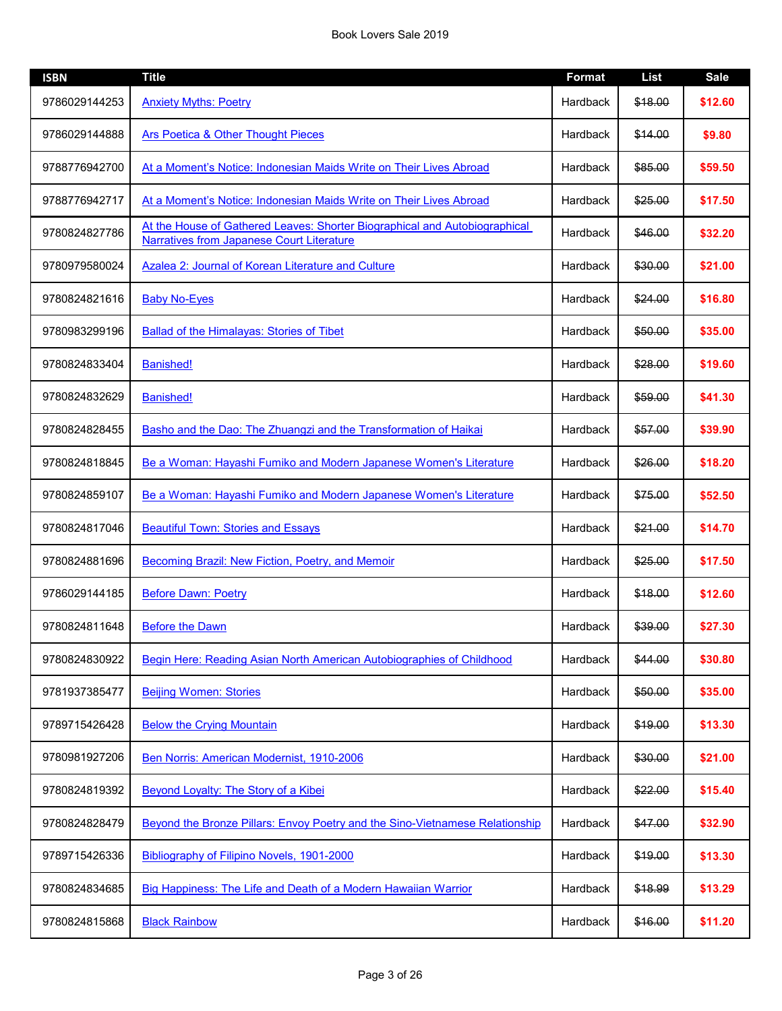| <b>ISBN</b>   | <b>Title</b>                                                                                                            | <b>Format</b> | <b>List</b> | <b>Sale</b> |
|---------------|-------------------------------------------------------------------------------------------------------------------------|---------------|-------------|-------------|
| 9786029144253 | <b>Anxiety Myths: Poetry</b>                                                                                            | Hardback      | \$18.00     | \$12.60     |
| 9786029144888 | Ars Poetica & Other Thought Pieces                                                                                      | Hardback      | \$14.00     | \$9.80      |
| 9788776942700 | At a Moment's Notice: Indonesian Maids Write on Their Lives Abroad                                                      | Hardback      | \$85.00     | \$59.50     |
| 9788776942717 | At a Moment's Notice: Indonesian Maids Write on Their Lives Abroad                                                      | Hardback      | \$25.00     | \$17.50     |
| 9780824827786 | At the House of Gathered Leaves: Shorter Biographical and Autobiographical<br>Narratives from Japanese Court Literature | Hardback      | \$46.00     | \$32.20     |
| 9780979580024 | Azalea 2: Journal of Korean Literature and Culture                                                                      | Hardback      | \$30.00     | \$21.00     |
| 9780824821616 | <b>Baby No-Eyes</b>                                                                                                     | Hardback      | \$24.00     | \$16.80     |
| 9780983299196 | <b>Ballad of the Himalayas: Stories of Tibet</b>                                                                        | Hardback      | \$50.00     | \$35.00     |
| 9780824833404 | <b>Banished!</b>                                                                                                        | Hardback      | \$28.00     | \$19.60     |
| 9780824832629 | <b>Banished!</b>                                                                                                        | Hardback      | \$59.00     | \$41.30     |
| 9780824828455 | Basho and the Dao: The Zhuangzi and the Transformation of Haikai                                                        | Hardback      | \$57.00     | \$39.90     |
| 9780824818845 | Be a Woman: Hayashi Fumiko and Modern Japanese Women's Literature                                                       | Hardback      | \$26.00     | \$18.20     |
| 9780824859107 | Be a Woman: Hayashi Fumiko and Modern Japanese Women's Literature                                                       | Hardback      | \$75.00     | \$52.50     |
| 9780824817046 | <b>Beautiful Town: Stories and Essays</b>                                                                               | Hardback      | \$21.00     | \$14.70     |
| 9780824881696 | Becoming Brazil: New Fiction, Poetry, and Memoir                                                                        | Hardback      | \$25.00     | \$17.50     |
| 9786029144185 | <b>Before Dawn: Poetry</b>                                                                                              | Hardback      | \$18.00     | \$12.60     |
| 9780824811648 | <b>Before the Dawn</b>                                                                                                  | Hardback      | \$39.00     | \$27.30     |
| 9780824830922 | Begin Here: Reading Asian North American Autobiographies of Childhood                                                   | Hardback      | \$44.00     | \$30.80     |
| 9781937385477 | <b>Beijing Women: Stories</b>                                                                                           | Hardback      | \$50.00     | \$35.00     |
| 9789715426428 | <b>Below the Crying Mountain</b>                                                                                        | Hardback      | \$19.00     | \$13.30     |
| 9780981927206 | Ben Norris: American Modernist, 1910-2006                                                                               | Hardback      | \$30.00     | \$21.00     |
| 9780824819392 | Beyond Loyalty: The Story of a Kibei                                                                                    | Hardback      | \$22.00     | \$15.40     |
| 9780824828479 | Beyond the Bronze Pillars: Envoy Poetry and the Sino-Vietnamese Relationship                                            | Hardback      | \$47.00     | \$32.90     |
| 9789715426336 | Bibliography of Filipino Novels, 1901-2000                                                                              | Hardback      | \$19.00     | \$13.30     |
| 9780824834685 | Big Happiness: The Life and Death of a Modern Hawaiian Warrior                                                          | Hardback      | \$18.99     | \$13.29     |
| 9780824815868 | <b>Black Rainbow</b>                                                                                                    | Hardback      | \$16.00     | \$11.20     |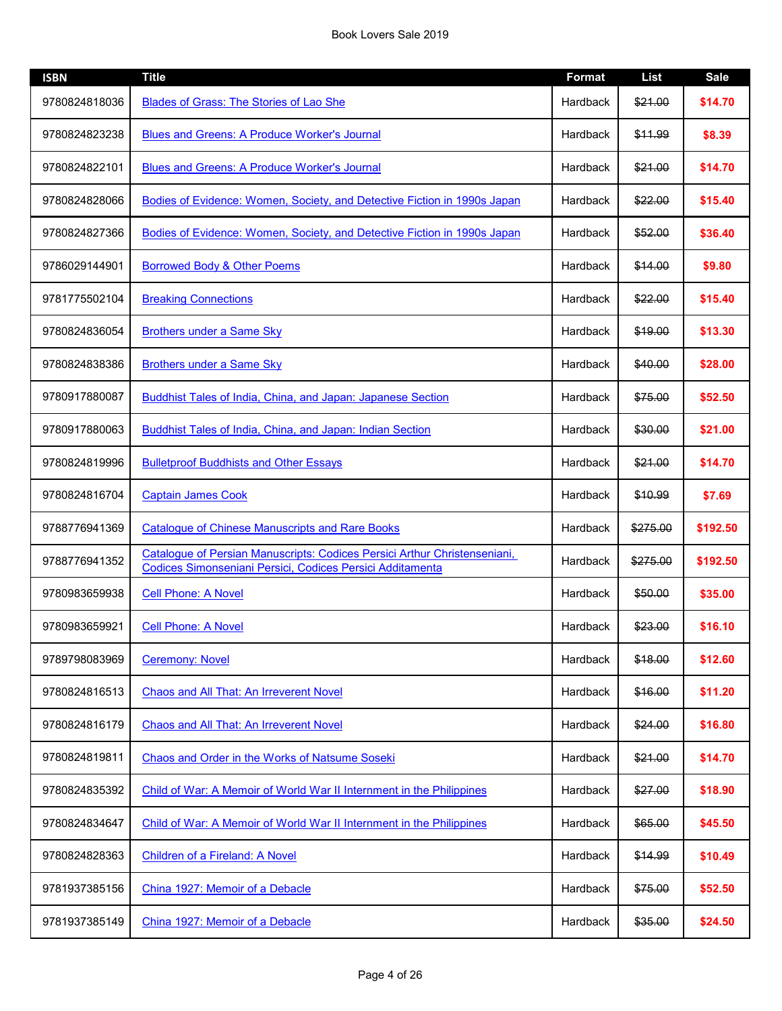| <b>ISBN</b>   | <b>Title</b>                                                                                                                           | <b>Format</b> | <b>List</b> | <b>Sale</b> |
|---------------|----------------------------------------------------------------------------------------------------------------------------------------|---------------|-------------|-------------|
| 9780824818036 | Blades of Grass: The Stories of Lao She                                                                                                | Hardback      | \$21.00     | \$14.70     |
| 9780824823238 | <b>Blues and Greens: A Produce Worker's Journal</b>                                                                                    | Hardback      | \$11.99     | \$8.39      |
| 9780824822101 | <b>Blues and Greens: A Produce Worker's Journal</b>                                                                                    | Hardback      | \$21.00     | \$14.70     |
| 9780824828066 | Bodies of Evidence: Women, Society, and Detective Fiction in 1990s Japan                                                               | Hardback      | \$22.00     | \$15.40     |
| 9780824827366 | Bodies of Evidence: Women, Society, and Detective Fiction in 1990s Japan                                                               | Hardback      | \$52.00     | \$36.40     |
| 9786029144901 | <b>Borrowed Body &amp; Other Poems</b>                                                                                                 | Hardback      | \$14.00     | \$9.80      |
| 9781775502104 | <b>Breaking Connections</b>                                                                                                            | Hardback      | \$22.00     | \$15.40     |
| 9780824836054 | <b>Brothers under a Same Sky</b>                                                                                                       | Hardback      | \$19.00     | \$13.30     |
| 9780824838386 | <b>Brothers under a Same Sky</b>                                                                                                       | Hardback      | \$40.00     | \$28.00     |
| 9780917880087 | Buddhist Tales of India, China, and Japan: Japanese Section                                                                            | Hardback      | \$75.00     | \$52.50     |
| 9780917880063 | <b>Buddhist Tales of India, China, and Japan: Indian Section</b>                                                                       | Hardback      | \$30.00     | \$21.00     |
| 9780824819996 | <b>Bulletproof Buddhists and Other Essays</b>                                                                                          | Hardback      | \$21.00     | \$14.70     |
| 9780824816704 | <b>Captain James Cook</b>                                                                                                              | Hardback      | \$10.99     | \$7.69      |
| 9788776941369 | <b>Catalogue of Chinese Manuscripts and Rare Books</b>                                                                                 | Hardback      | \$275.00    | \$192.50    |
| 9788776941352 | Catalogue of Persian Manuscripts: Codices Persici Arthur Christenseniani,<br>Codices Simonseniani Persici, Codices Persici Additamenta | Hardback      | \$275.00    | \$192.50    |
| 9780983659938 | <b>Cell Phone: A Novel</b>                                                                                                             | Hardback      | \$50.00     | \$35.00     |
| 9780983659921 | <b>Cell Phone: A Novel</b>                                                                                                             | Hardback      | \$23.00     | \$16.10     |
| 9789798083969 | <b>Ceremony: Novel</b>                                                                                                                 | Hardback      | \$18.00     | \$12.60     |
| 9780824816513 | Chaos and All That: An Irreverent Novel                                                                                                | Hardback      | \$16.00     | \$11.20     |
| 9780824816179 | Chaos and All That: An Irreverent Novel                                                                                                | Hardback      | \$24.00     | \$16.80     |
| 9780824819811 | Chaos and Order in the Works of Natsume Soseki                                                                                         | Hardback      | \$21.00     | \$14.70     |
| 9780824835392 | Child of War: A Memoir of World War II Internment in the Philippines                                                                   | Hardback      | \$27.00     | \$18.90     |
| 9780824834647 | Child of War: A Memoir of World War II Internment in the Philippines                                                                   | Hardback      | \$65.00     | \$45.50     |
| 9780824828363 | Children of a Fireland: A Novel                                                                                                        | Hardback      | \$14.99     | \$10.49     |
| 9781937385156 | China 1927: Memoir of a Debacle                                                                                                        | Hardback      | \$75.00     | \$52.50     |
| 9781937385149 | China 1927: Memoir of a Debacle                                                                                                        | Hardback      | \$35.00     | \$24.50     |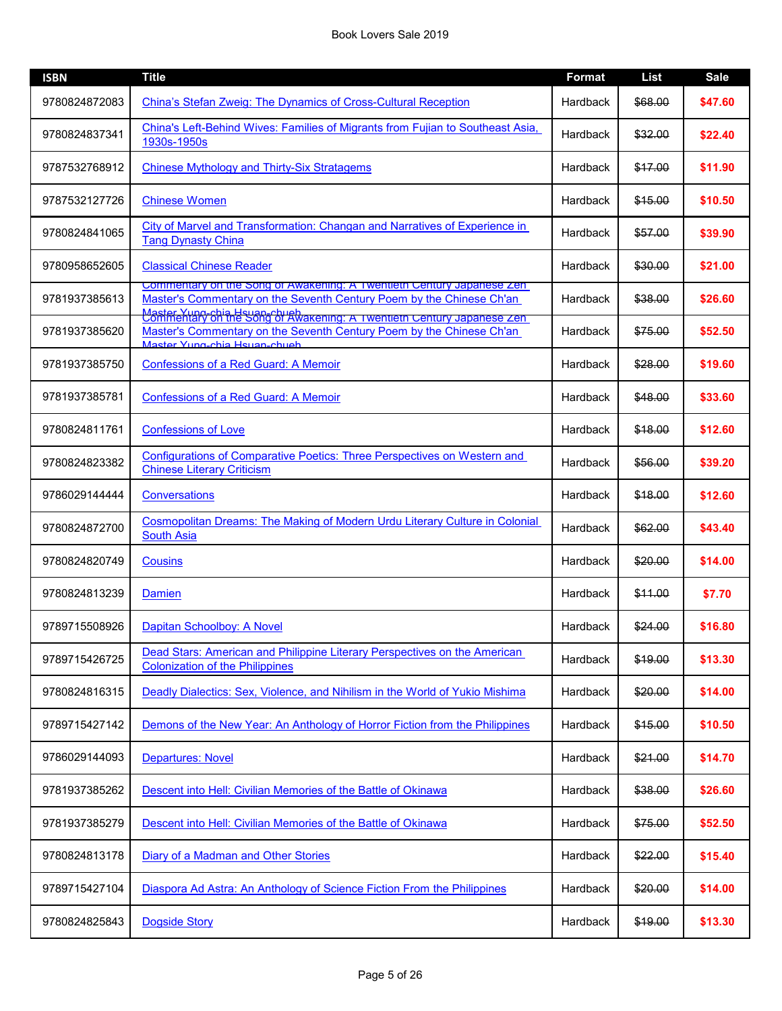| <b>ISBN</b>   | <b>Title</b>                                                                                                                                                                                                                                              | <b>Format</b> | <b>List</b> | <b>Sale</b> |
|---------------|-----------------------------------------------------------------------------------------------------------------------------------------------------------------------------------------------------------------------------------------------------------|---------------|-------------|-------------|
| 9780824872083 | China's Stefan Zweig: The Dynamics of Cross-Cultural Reception                                                                                                                                                                                            | Hardback      | \$68.00     | \$47.60     |
| 9780824837341 | China's Left-Behind Wives: Families of Migrants from Fujian to Southeast Asia,<br>1930s-1950s                                                                                                                                                             | Hardback      | \$32.00     | \$22.40     |
| 9787532768912 | <b>Chinese Mythology and Thirty-Six Stratagems</b>                                                                                                                                                                                                        | Hardback      | \$17.00     | \$11.90     |
| 9787532127726 | <b>Chinese Women</b>                                                                                                                                                                                                                                      | Hardback      | \$15.00     | \$10.50     |
| 9780824841065 | City of Marvel and Transformation: Changan and Narratives of Experience in<br><b>Tang Dynasty China</b>                                                                                                                                                   | Hardback      | \$57.00     | \$39.90     |
| 9780958652605 | <b>Classical Chinese Reader</b>                                                                                                                                                                                                                           | Hardback      | \$30.00     | \$21.00     |
| 9781937385613 | Commentary on the Song of Awakening: A Twentieth Century Japanese Zen-<br>Master's Commentary on the Seventh Century Poem by the Chinese Ch'an<br>Master Yung-chia Hsuan-chugh<br>Contrientary on the Song of Awakening: A Twentieth Century Japanese Zen | Hardback      | \$38.00     | \$26.60     |
| 9781937385620 | Master's Commentary on the Seventh Century Poem by the Chinese Ch'an<br>Master Yung-chia Hsuan-chueh                                                                                                                                                      | Hardback      | \$75.00     | \$52.50     |
| 9781937385750 | <b>Confessions of a Red Guard: A Memoir</b>                                                                                                                                                                                                               | Hardback      | \$28.00     | \$19.60     |
| 9781937385781 | <b>Confessions of a Red Guard: A Memoir</b>                                                                                                                                                                                                               | Hardback      | \$48.00     | \$33.60     |
| 9780824811761 | <b>Confessions of Love</b>                                                                                                                                                                                                                                | Hardback      | \$18.00     | \$12.60     |
| 9780824823382 | Configurations of Comparative Poetics: Three Perspectives on Western and<br><b>Chinese Literary Criticism</b>                                                                                                                                             | Hardback      | \$56.00     | \$39.20     |
| 9786029144444 | Conversations                                                                                                                                                                                                                                             | Hardback      | \$18.00     | \$12.60     |
| 9780824872700 | Cosmopolitan Dreams: The Making of Modern Urdu Literary Culture in Colonial<br><b>South Asia</b>                                                                                                                                                          | Hardback      | \$62.00     | \$43.40     |
| 9780824820749 | <b>Cousins</b>                                                                                                                                                                                                                                            | Hardback      | \$20.00     | \$14.00     |
| 9780824813239 | Damien                                                                                                                                                                                                                                                    | Hardback      | \$11.00     | \$7.70      |
| 9789715508926 | Dapitan Schoolboy: A Novel                                                                                                                                                                                                                                | Hardback      | \$24.00     | \$16.80     |
| 9789715426725 | Dead Stars: American and Philippine Literary Perspectives on the American<br><b>Colonization of the Philippines</b>                                                                                                                                       | Hardback      | \$19.00     | \$13.30     |
| 9780824816315 | Deadly Dialectics: Sex, Violence, and Nihilism in the World of Yukio Mishima                                                                                                                                                                              | Hardback      | \$20.00     | \$14.00     |
| 9789715427142 | Demons of the New Year: An Anthology of Horror Fiction from the Philippines                                                                                                                                                                               | Hardback      | \$15.00     | \$10.50     |
| 9786029144093 | <b>Departures: Novel</b>                                                                                                                                                                                                                                  | Hardback      | \$21.00     | \$14.70     |
| 9781937385262 | Descent into Hell: Civilian Memories of the Battle of Okinawa                                                                                                                                                                                             | Hardback      | \$38.00     | \$26.60     |
| 9781937385279 | Descent into Hell: Civilian Memories of the Battle of Okinawa                                                                                                                                                                                             | Hardback      | \$75.00     | \$52.50     |
| 9780824813178 | Diary of a Madman and Other Stories                                                                                                                                                                                                                       | Hardback      | \$22.00     | \$15.40     |
| 9789715427104 | Diaspora Ad Astra: An Anthology of Science Fiction From the Philippines                                                                                                                                                                                   | Hardback      | \$20.00     | \$14.00     |
| 9780824825843 | <b>Dogside Story</b>                                                                                                                                                                                                                                      | Hardback      | \$19.00     | \$13.30     |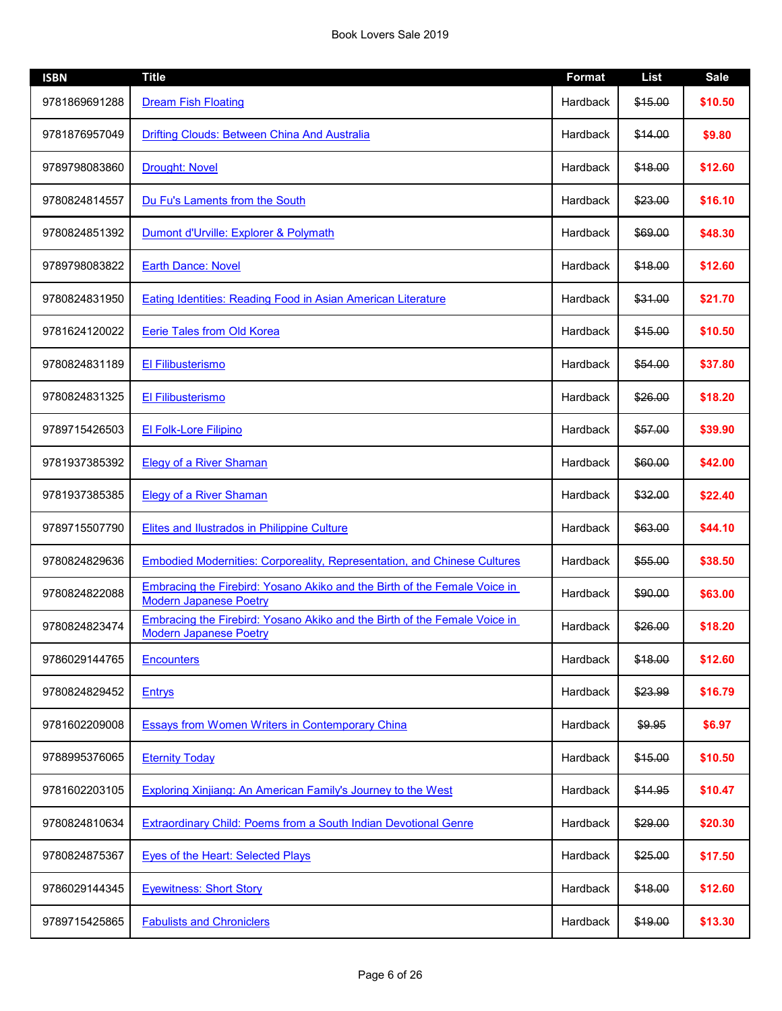| <b>ISBN</b>   | <b>Title</b>                                                                                               | <b>Format</b> | <b>List</b> | <b>Sale</b> |
|---------------|------------------------------------------------------------------------------------------------------------|---------------|-------------|-------------|
| 9781869691288 | <b>Dream Fish Floating</b>                                                                                 | Hardback      | \$15.00     | \$10.50     |
| 9781876957049 | Drifting Clouds: Between China And Australia                                                               | Hardback      | \$14.00     | \$9.80      |
| 9789798083860 | <b>Drought: Novel</b>                                                                                      | Hardback      | \$18.00     | \$12.60     |
| 9780824814557 | Du Fu's Laments from the South                                                                             | Hardback      | \$23.00     | \$16.10     |
| 9780824851392 | Dumont d'Urville: Explorer & Polymath                                                                      | Hardback      | \$69.00     | \$48.30     |
| 9789798083822 | <b>Earth Dance: Novel</b>                                                                                  | Hardback      | \$18.00     | \$12.60     |
| 9780824831950 | Eating Identities: Reading Food in Asian American Literature                                               | Hardback      | \$31.00     | \$21.70     |
| 9781624120022 | Eerie Tales from Old Korea                                                                                 | Hardback      | \$15.00     | \$10.50     |
| 9780824831189 | El Filibusterismo                                                                                          | Hardback      | \$54.00     | \$37.80     |
| 9780824831325 | El Filibusterismo                                                                                          | Hardback      | \$26.00     | \$18.20     |
| 9789715426503 | <b>El Folk-Lore Filipino</b>                                                                               | Hardback      | \$57.00     | \$39.90     |
| 9781937385392 | <b>Elegy of a River Shaman</b>                                                                             | Hardback      | \$60.00     | \$42.00     |
| 9781937385385 | <b>Elegy of a River Shaman</b>                                                                             | Hardback      | \$32.00     | \$22.40     |
| 9789715507790 | <b>Elites and Ilustrados in Philippine Culture</b>                                                         | Hardback      | \$63.00     | \$44.10     |
| 9780824829636 | <b>Embodied Modernities: Corporeality, Representation, and Chinese Cultures</b>                            | Hardback      | \$55.00     | \$38.50     |
| 9780824822088 | Embracing the Firebird: Yosano Akiko and the Birth of the Female Voice in<br><b>Modern Japanese Poetry</b> | Hardback      | \$90.00     | \$63.00     |
| 9780824823474 | Embracing the Firebird: Yosano Akiko and the Birth of the Female Voice in<br><b>Modern Japanese Poetry</b> | Hardback      | \$26.00     | \$18.20     |
| 9786029144765 | <b>Encounters</b>                                                                                          | Hardback      | \$18.00     | \$12.60     |
| 9780824829452 | <b>Entrys</b>                                                                                              | Hardback      | \$23.99     | \$16.79     |
| 9781602209008 | <b>Essays from Women Writers in Contemporary China</b>                                                     | Hardback      | \$9.95      | \$6.97      |
| 9788995376065 | <b>Eternity Today</b>                                                                                      | Hardback      | \$15.00     | \$10.50     |
| 9781602203105 | <b>Exploring Xinjiang: An American Family's Journey to the West</b>                                        | Hardback      | \$14.95     | \$10.47     |
| 9780824810634 | <b>Extraordinary Child: Poems from a South Indian Devotional Genre</b>                                     | Hardback      | \$29.00     | \$20.30     |
| 9780824875367 | <b>Eyes of the Heart: Selected Plays</b>                                                                   | Hardback      | \$25.00     | \$17.50     |
| 9786029144345 | <b>Eyewitness: Short Story</b>                                                                             | Hardback      | \$18.00     | \$12.60     |
| 9789715425865 | <b>Fabulists and Chroniclers</b>                                                                           | Hardback      | \$19.00     | \$13.30     |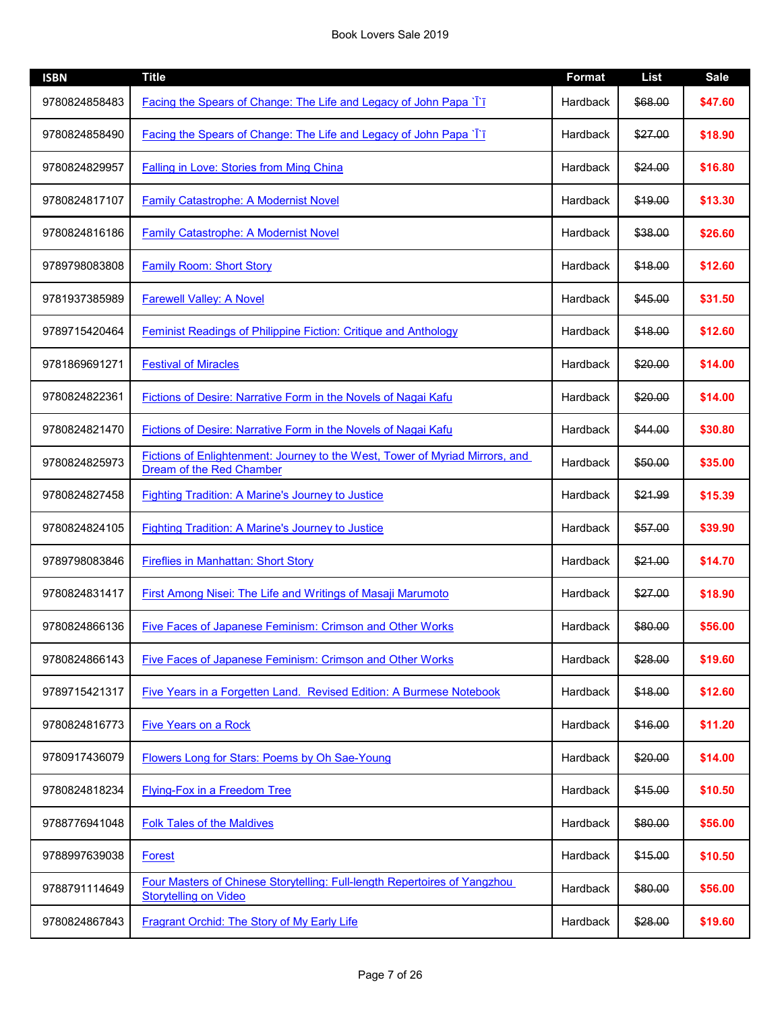| <b>ISBN</b>   | <b>Title</b>                                                                                              | <b>Format</b> | <b>List</b> | <b>Sale</b> |
|---------------|-----------------------------------------------------------------------------------------------------------|---------------|-------------|-------------|
| 9780824858483 | Facing the Spears of Change: The Life and Legacy of John Papa ` <i>l</i> ` <i>l</i>                       | Hardback      | \$68.00     | \$47.60     |
| 9780824858490 | Facing the Spears of Change: The Life and Legacy of John Papa `T`T                                        | Hardback      | \$27.00     | \$18.90     |
| 9780824829957 | <b>Falling in Love: Stories from Ming China</b>                                                           | Hardback      | \$24.00     | \$16.80     |
| 9780824817107 | <b>Family Catastrophe: A Modernist Novel</b>                                                              | Hardback      | \$19.00     | \$13.30     |
| 9780824816186 | <b>Family Catastrophe: A Modernist Novel</b>                                                              | Hardback      | \$38.00     | \$26.60     |
| 9789798083808 | <b>Family Room: Short Story</b>                                                                           | Hardback      | \$18.00     | \$12.60     |
| 9781937385989 | <b>Farewell Valley: A Novel</b>                                                                           | Hardback      | \$45.00     | \$31.50     |
| 9789715420464 | <b>Feminist Readings of Philippine Fiction: Critique and Anthology</b>                                    | Hardback      | \$18.00     | \$12.60     |
| 9781869691271 | <b>Festival of Miracles</b>                                                                               | Hardback      | \$20.00     | \$14.00     |
| 9780824822361 | Fictions of Desire: Narrative Form in the Novels of Nagai Kafu                                            | Hardback      | \$20.00     | \$14.00     |
| 9780824821470 | <b>Fictions of Desire: Narrative Form in the Novels of Nagai Kafu</b>                                     | Hardback      | \$44.00     | \$30.80     |
| 9780824825973 | Fictions of Enlightenment: Journey to the West, Tower of Myriad Mirrors, and<br>Dream of the Red Chamber  | Hardback      | \$50.00     | \$35.00     |
| 9780824827458 | <b>Fighting Tradition: A Marine's Journey to Justice</b>                                                  | Hardback      | \$21.99     | \$15.39     |
| 9780824824105 | <b>Fighting Tradition: A Marine's Journey to Justice</b>                                                  | Hardback      | \$57.00     | \$39.90     |
| 9789798083846 | <b>Fireflies in Manhattan: Short Story</b>                                                                | Hardback      | \$21.00     | \$14.70     |
| 9780824831417 | First Among Nisei: The Life and Writings of Masaji Marumoto                                               | Hardback      | \$27.00     | \$18.90     |
| 9780824866136 | <b>Five Faces of Japanese Feminism: Crimson and Other Works</b>                                           | Hardback      | \$80.00     | \$56.00     |
| 9780824866143 | Five Faces of Japanese Feminism: Crimson and Other Works                                                  | Hardback      | \$28.00     | \$19.60     |
| 9789715421317 | Five Years in a Forgetten Land. Revised Edition: A Burmese Notebook                                       | Hardback      | \$18.00     | \$12.60     |
| 9780824816773 | <b>Five Years on a Rock</b>                                                                               | Hardback      | \$16.00     | \$11.20     |
| 9780917436079 | Flowers Long for Stars: Poems by Oh Sae-Young                                                             | Hardback      | \$20.00     | \$14.00     |
| 9780824818234 | <b>Flying-Fox in a Freedom Tree</b>                                                                       | Hardback      | \$15.00     | \$10.50     |
| 9788776941048 | <b>Folk Tales of the Maldives</b>                                                                         | Hardback      | \$80.00     | \$56.00     |
| 9788997639038 | Forest                                                                                                    | Hardback      | \$15.00     | \$10.50     |
| 9788791114649 | Four Masters of Chinese Storytelling: Full-length Repertoires of Yangzhou<br><b>Storytelling on Video</b> | Hardback      | \$80.00     | \$56.00     |
| 9780824867843 | Fragrant Orchid: The Story of My Early Life                                                               | Hardback      | \$28.00     | \$19.60     |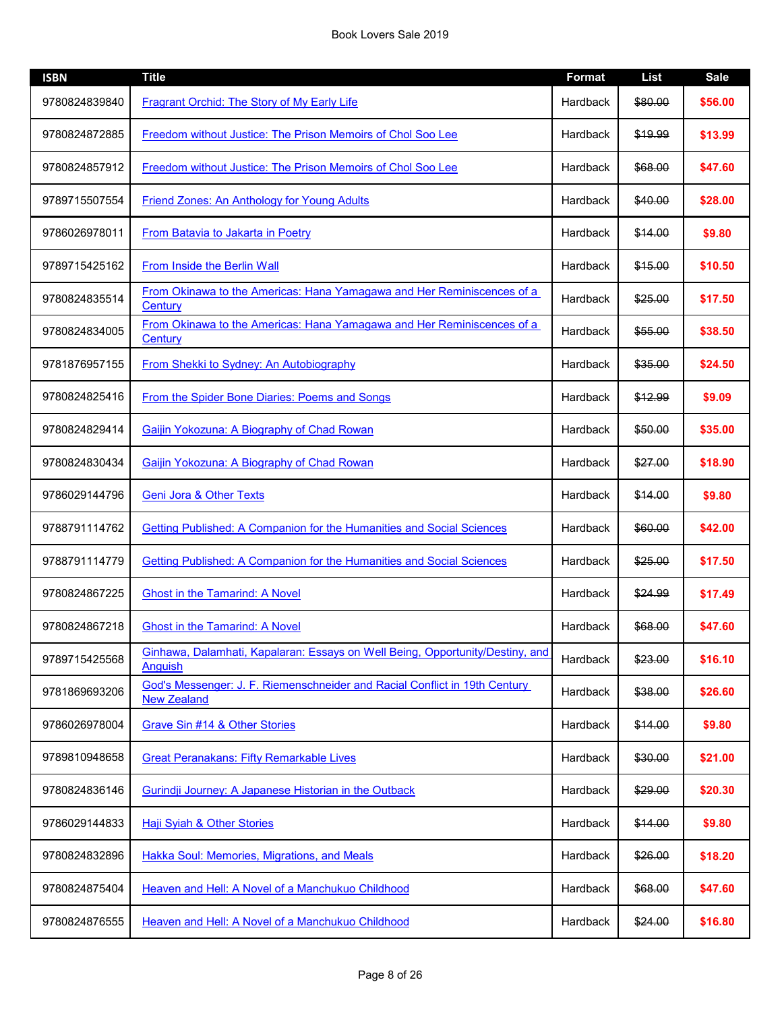| <b>ISBN</b>   | <b>Title</b>                                                                                     | <b>Format</b> | <b>List</b> | <b>Sale</b> |
|---------------|--------------------------------------------------------------------------------------------------|---------------|-------------|-------------|
| 9780824839840 | Fragrant Orchid: The Story of My Early Life                                                      | Hardback      | \$80.00     | \$56.00     |
| 9780824872885 | Freedom without Justice: The Prison Memoirs of Chol Soo Lee                                      | Hardback      | \$19.99     | \$13.99     |
| 9780824857912 | Freedom without Justice: The Prison Memoirs of Chol Soo Lee                                      | Hardback      | \$68.00     | \$47.60     |
| 9789715507554 | Friend Zones: An Anthology for Young Adults                                                      | Hardback      | \$40.00     | \$28.00     |
| 9786026978011 | <b>From Batavia to Jakarta in Poetry</b>                                                         | Hardback      | \$14.00     | \$9.80      |
| 9789715425162 | From Inside the Berlin Wall                                                                      | Hardback      | \$15.00     | \$10.50     |
| 9780824835514 | From Okinawa to the Americas: Hana Yamagawa and Her Reminiscences of a<br>Century                | Hardback      | \$25.00     | \$17.50     |
| 9780824834005 | From Okinawa to the Americas: Hana Yamagawa and Her Reminiscences of a<br>Century                | Hardback      | \$55.00     | \$38.50     |
| 9781876957155 | <b>From Shekki to Sydney: An Autobiography</b>                                                   | Hardback      | \$35.00     | \$24.50     |
| 9780824825416 | From the Spider Bone Diaries: Poems and Songs                                                    | Hardback      | \$12.99     | \$9.09      |
| 9780824829414 | Gaijin Yokozuna: A Biography of Chad Rowan                                                       | Hardback      | \$50.00     | \$35.00     |
| 9780824830434 | Gaijin Yokozuna: A Biography of Chad Rowan                                                       | Hardback      | \$27.00     | \$18.90     |
| 9786029144796 | <b>Geni Jora &amp; Other Texts</b>                                                               | Hardback      | \$14.00     | \$9.80      |
| 9788791114762 | <b>Getting Published: A Companion for the Humanities and Social Sciences</b>                     | Hardback      | \$60.00     | \$42.00     |
| 9788791114779 | <b>Getting Published: A Companion for the Humanities and Social Sciences</b>                     | Hardback      | \$25.00     | \$17.50     |
| 9780824867225 | <b>Ghost in the Tamarind: A Novel</b>                                                            | Hardback      | \$24.99     | \$17.49     |
| 9780824867218 | <b>Ghost in the Tamarind: A Novel</b>                                                            | Hardback      | \$68.00     | \$47.60     |
| 9789715425568 | Ginhawa, Dalamhati, Kapalaran: Essays on Well Being, Opportunity/Destiny, and<br>Anguish         | Hardback      | \$23.00     | \$16.10     |
| 9781869693206 | God's Messenger: J. F. Riemenschneider and Racial Conflict in 19th Century<br><b>New Zealand</b> | Hardback      | \$38.00     | \$26.60     |
| 9786026978004 | Grave Sin #14 & Other Stories                                                                    | Hardback      | \$14.00     | \$9.80      |
| 9789810948658 | <b>Great Peranakans: Fifty Remarkable Lives</b>                                                  | Hardback      | \$30.00     | \$21.00     |
| 9780824836146 | Gurindji Journey: A Japanese Historian in the Outback                                            | Hardback      | \$29.00     | \$20.30     |
| 9786029144833 | Haji Syiah & Other Stories                                                                       | Hardback      | \$14.00     | \$9.80      |
| 9780824832896 | Hakka Soul: Memories, Migrations, and Meals                                                      | Hardback      | \$26.00     | \$18.20     |
| 9780824875404 | Heaven and Hell: A Novel of a Manchukuo Childhood                                                | Hardback      | \$68.00     | \$47.60     |
| 9780824876555 | Heaven and Hell: A Novel of a Manchukuo Childhood                                                | Hardback      | \$24.00     | \$16.80     |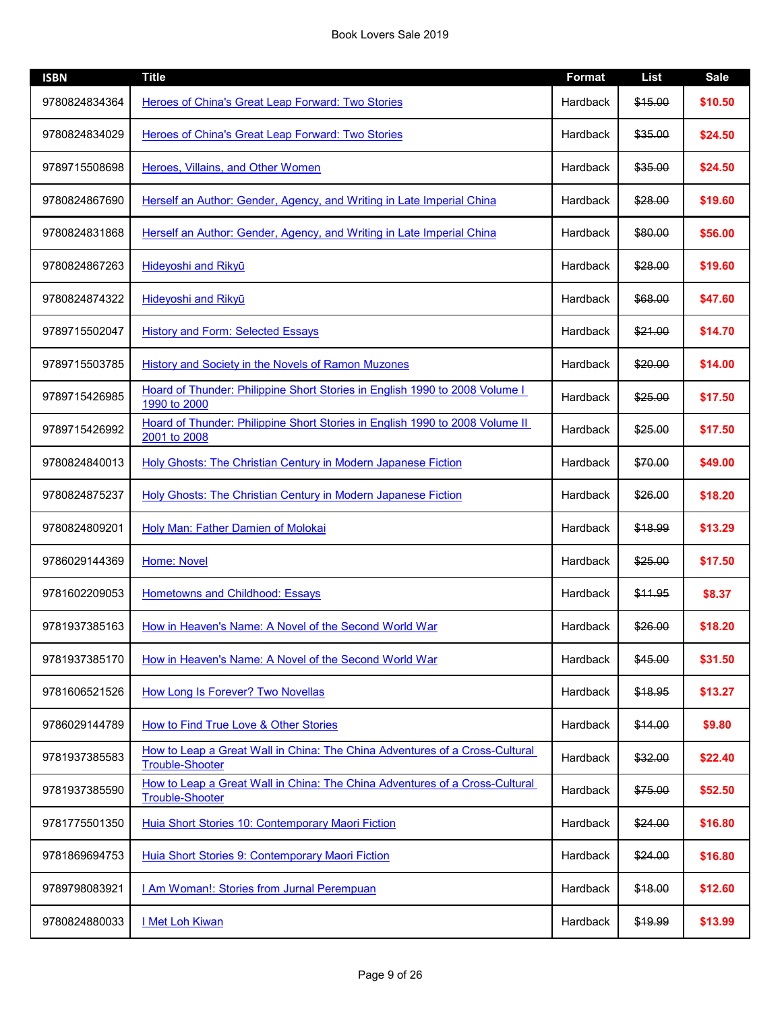| <b>ISBN</b>   | <b>Title</b>                                                                                          | <b>Format</b> | <b>List</b> | <b>Sale</b> |
|---------------|-------------------------------------------------------------------------------------------------------|---------------|-------------|-------------|
| 9780824834364 | Heroes of China's Great Leap Forward: Two Stories                                                     | Hardback      | \$15.00     | \$10.50     |
| 9780824834029 | Heroes of China's Great Leap Forward: Two Stories                                                     | Hardback      | \$35.00     | \$24.50     |
| 9789715508698 | Heroes, Villains, and Other Women                                                                     | Hardback      | \$35.00     | \$24.50     |
| 9780824867690 | Herself an Author: Gender, Agency, and Writing in Late Imperial China                                 | Hardback      | \$28.00     | \$19.60     |
| 9780824831868 | Herself an Author: Gender, Agency, and Writing in Late Imperial China                                 | Hardback      | \$80.00     | \$56.00     |
| 9780824867263 | Hideyoshi and Rikyū                                                                                   | Hardback      | \$28.00     | \$19.60     |
| 9780824874322 | Hideyoshi and Rikyū                                                                                   | Hardback      | \$68.00     | \$47.60     |
| 9789715502047 | <b>History and Form: Selected Essays</b>                                                              | Hardback      | \$21.00     | \$14.70     |
| 9789715503785 | History and Society in the Novels of Ramon Muzones                                                    | Hardback      | \$20.00     | \$14.00     |
| 9789715426985 | Hoard of Thunder: Philippine Short Stories in English 1990 to 2008 Volume I<br>1990 to 2000           | Hardback      | \$25.00     | \$17.50     |
| 9789715426992 | Hoard of Thunder: Philippine Short Stories in English 1990 to 2008 Volume II<br>2001 to 2008          | Hardback      | \$25.00     | \$17.50     |
| 9780824840013 | <b>Holy Ghosts: The Christian Century in Modern Japanese Fiction</b>                                  | Hardback      | \$70.00     | \$49.00     |
| 9780824875237 | <b>Holy Ghosts: The Christian Century in Modern Japanese Fiction</b>                                  | Hardback      | \$26.00     | \$18.20     |
| 9780824809201 | <b>Holy Man: Father Damien of Molokai</b>                                                             | Hardback      | \$18.99     | \$13.29     |
| 9786029144369 | <b>Home: Novel</b>                                                                                    | Hardback      | \$25.00     | \$17.50     |
| 9781602209053 | <b>Hometowns and Childhood: Essays</b>                                                                | Hardback      | \$11.95     | \$8.37      |
| 9781937385163 | How in Heaven's Name: A Novel of the Second World War                                                 | Hardback      | \$26.00     | \$18.20     |
| 9781937385170 | How in Heaven's Name: A Novel of the Second World War                                                 | Hardback      | \$45.00     | \$31.50     |
| 9781606521526 | How Long Is Forever? Two Novellas                                                                     | Hardback      | \$18.95     | \$13.27     |
| 9786029144789 | How to Find True Love & Other Stories                                                                 | Hardback      | \$14.00     | \$9.80      |
| 9781937385583 | How to Leap a Great Wall in China: The China Adventures of a Cross-Cultural<br><b>Trouble-Shooter</b> | Hardback      | \$32.00     | \$22.40     |
| 9781937385590 | How to Leap a Great Wall in China: The China Adventures of a Cross-Cultural<br><b>Trouble-Shooter</b> | Hardback      | \$75.00     | \$52.50     |
| 9781775501350 | Huia Short Stories 10: Contemporary Maori Fiction                                                     | Hardback      | \$24.00     | \$16.80     |
| 9781869694753 | Huia Short Stories 9: Contemporary Maori Fiction                                                      | Hardback      | \$24.00     | \$16.80     |
| 9789798083921 | I Am Woman!: Stories from Jurnal Perempuan                                                            | Hardback      | \$18.00     | \$12.60     |
| 9780824880033 | I Met Loh Kiwan                                                                                       | Hardback      | \$19.99     | \$13.99     |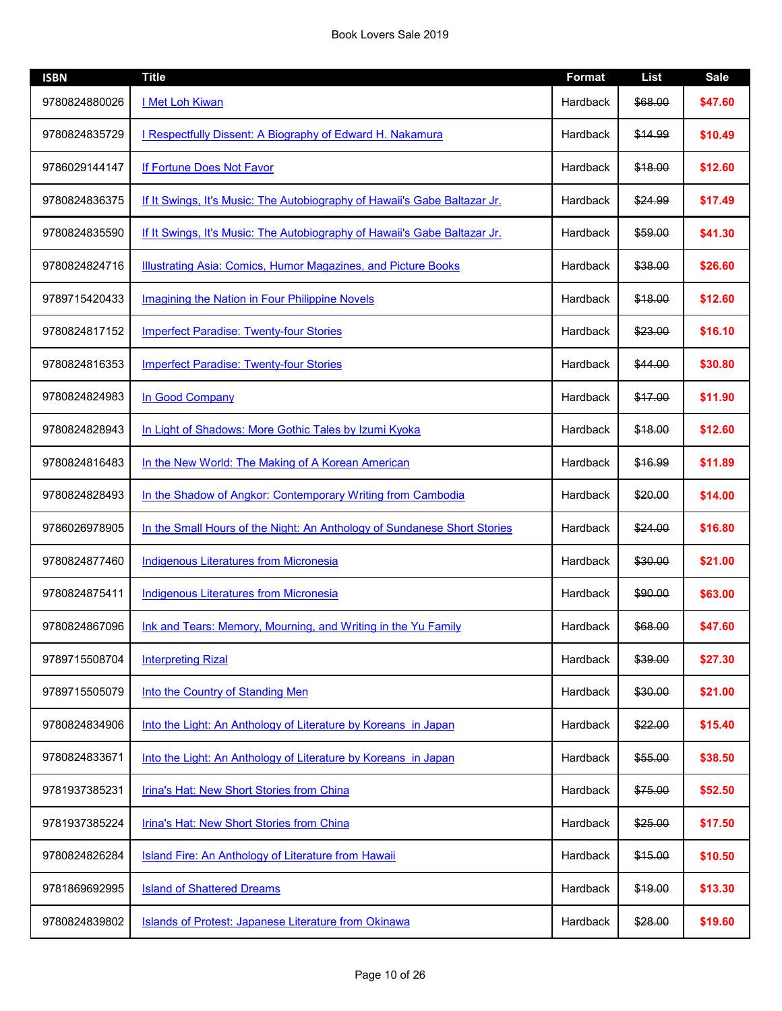| <b>ISBN</b>   | <b>Title</b>                                                              | <b>Format</b> | <b>List</b> | <b>Sale</b> |
|---------------|---------------------------------------------------------------------------|---------------|-------------|-------------|
| 9780824880026 | I Met Loh Kiwan                                                           | Hardback      | \$68.00     | \$47.60     |
| 9780824835729 | I Respectfully Dissent: A Biography of Edward H. Nakamura                 | Hardback      | \$14.99     | \$10.49     |
| 9786029144147 | If Fortune Does Not Favor                                                 | Hardback      | \$18.00     | \$12.60     |
| 9780824836375 | If It Swings, It's Music: The Autobiography of Hawaii's Gabe Baltazar Jr. | Hardback      | \$24.99     | \$17.49     |
| 9780824835590 | If It Swings, It's Music: The Autobiography of Hawaii's Gabe Baltazar Jr. | Hardback      | \$59.00     | \$41.30     |
| 9780824824716 | Illustrating Asia: Comics, Humor Magazines, and Picture Books             | Hardback      | \$38.00     | \$26.60     |
| 9789715420433 | Imagining the Nation in Four Philippine Novels                            | Hardback      | \$18.00     | \$12.60     |
| 9780824817152 | <b>Imperfect Paradise: Twenty-four Stories</b>                            | Hardback      | \$23.00     | \$16.10     |
| 9780824816353 | <b>Imperfect Paradise: Twenty-four Stories</b>                            | Hardback      | \$44.00     | \$30.80     |
| 9780824824983 | In Good Company                                                           | Hardback      | \$17.00     | \$11.90     |
| 9780824828943 | In Light of Shadows: More Gothic Tales by Izumi Kyoka                     | Hardback      | \$18.00     | \$12.60     |
| 9780824816483 | In the New World: The Making of A Korean American                         | Hardback      | \$16.99     | \$11.89     |
| 9780824828493 | In the Shadow of Angkor: Contemporary Writing from Cambodia               | Hardback      | \$20.00     | \$14.00     |
| 9786026978905 | In the Small Hours of the Night: An Anthology of Sundanese Short Stories  | Hardback      | \$24.00     | \$16.80     |
| 9780824877460 | <b>Indigenous Literatures from Micronesia</b>                             | Hardback      | \$30.00     | \$21.00     |
| 9780824875411 | <b>Indigenous Literatures from Micronesia</b>                             | Hardback      | \$90.00     | \$63.00     |
| 9780824867096 | Ink and Tears: Memory, Mourning, and Writing in the Yu Family             | Hardback      | \$68.00     | \$47.60     |
| 9789715508704 | <b>Interpreting Rizal</b>                                                 | Hardback      | \$39.00     | \$27.30     |
| 9789715505079 | Into the Country of Standing Men                                          | Hardback      | \$30.00     | \$21.00     |
| 9780824834906 | Into the Light: An Anthology of Literature by Koreans in Japan            | Hardback      | \$22.00     | \$15.40     |
| 9780824833671 | Into the Light: An Anthology of Literature by Koreans in Japan            | Hardback      | \$55.00     | \$38.50     |
| 9781937385231 | Irina's Hat: New Short Stories from China                                 | Hardback      | \$75.00     | \$52.50     |
| 9781937385224 | Irina's Hat: New Short Stories from China                                 | Hardback      | \$25.00     | \$17.50     |
| 9780824826284 | Island Fire: An Anthology of Literature from Hawaii                       | Hardback      | \$15.00     | \$10.50     |
| 9781869692995 | <b>Island of Shattered Dreams</b>                                         | Hardback      | \$19.00     | \$13.30     |
| 9780824839802 | Islands of Protest: Japanese Literature from Okinawa                      | Hardback      | \$28.00     | \$19.60     |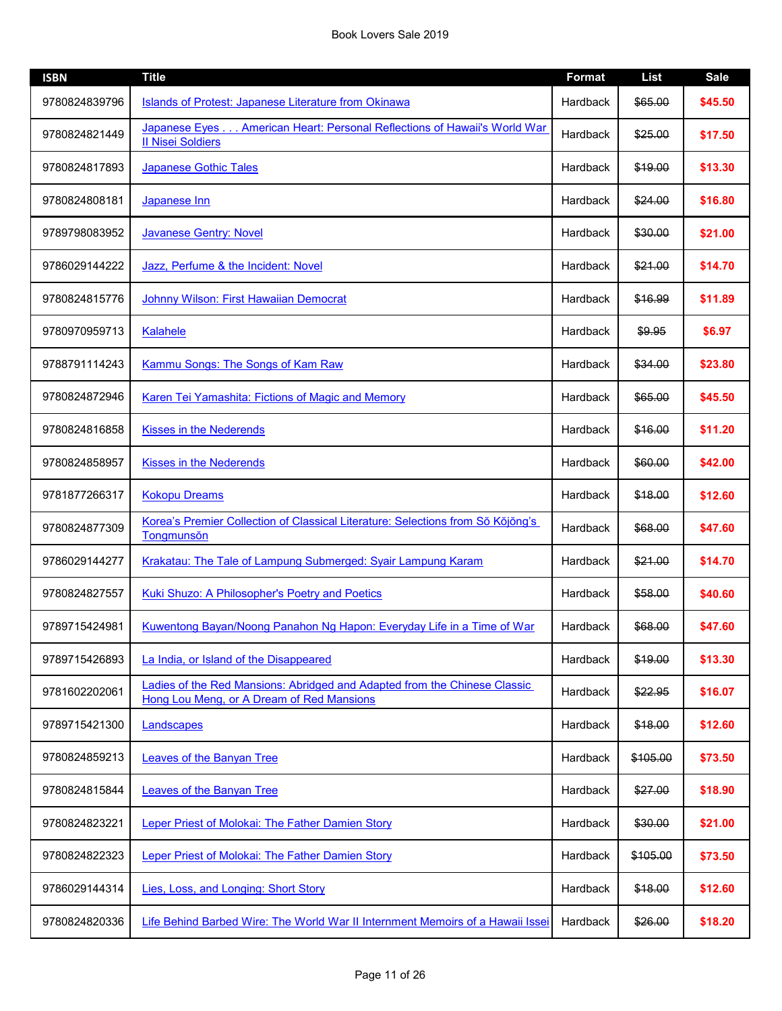| <b>ISBN</b>   | <b>Title</b>                                                                                                           | <b>Format</b>   | <b>List</b> | <b>Sale</b> |
|---------------|------------------------------------------------------------------------------------------------------------------------|-----------------|-------------|-------------|
| 9780824839796 | Islands of Protest: Japanese Literature from Okinawa                                                                   | Hardback        | \$65.00     | \$45.50     |
| 9780824821449 | Japanese Eyes American Heart: Personal Reflections of Hawaii's World War<br><b>II Nisei Soldiers</b>                   | <b>Hardback</b> | \$25.00     | \$17.50     |
| 9780824817893 | Japanese Gothic Tales                                                                                                  | Hardback        | \$19.00     | \$13.30     |
| 9780824808181 | Japanese Inn                                                                                                           | Hardback        | \$24.00     | \$16.80     |
| 9789798083952 | <b>Javanese Gentry: Novel</b>                                                                                          | <b>Hardback</b> | \$30.00     | \$21.00     |
| 9786029144222 | Jazz, Perfume & the Incident: Novel                                                                                    | Hardback        | \$21.00     | \$14.70     |
| 9780824815776 | Johnny Wilson: First Hawaiian Democrat                                                                                 | Hardback        | \$16.99     | \$11.89     |
| 9780970959713 | <b>Kalahele</b>                                                                                                        | Hardback        | \$9.95      | \$6.97      |
| 9788791114243 | Kammu Songs: The Songs of Kam Raw                                                                                      | <b>Hardback</b> | \$34.00     | \$23.80     |
| 9780824872946 | Karen Tei Yamashita: Fictions of Magic and Memory                                                                      | <b>Hardback</b> | \$65.00     | \$45.50     |
| 9780824816858 | <b>Kisses in the Nederends</b>                                                                                         | Hardback        | \$16.00     | \$11.20     |
| 9780824858957 | <b>Kisses in the Nederends</b>                                                                                         | Hardback        | \$60.00     | \$42.00     |
| 9781877266317 | <b>Kokopu Dreams</b>                                                                                                   | <b>Hardback</b> | \$18.00     | \$12.60     |
| 9780824877309 | Korea's Premier Collection of Classical Literature: Selections from Sŏ Kŏjŏng's<br>Tongmunsŏn                          | Hardback        | \$68.00     | \$47.60     |
| 9786029144277 | Krakatau: The Tale of Lampung Submerged: Syair Lampung Karam                                                           | <b>Hardback</b> | \$21.00     | \$14.70     |
| 9780824827557 | <b>Kuki Shuzo: A Philosopher's Poetry and Poetics</b>                                                                  | Hardback        | \$58.00     | \$40.60     |
| 9789715424981 | Kuwentong Bayan/Noong Panahon Ng Hapon: Everyday Life in a Time of War                                                 | Hardback        | \$68.00     | \$47.60     |
| 9789715426893 | La India, or Island of the Disappeared                                                                                 | <b>Hardback</b> | \$19.00     | \$13.30     |
| 9781602202061 | Ladies of the Red Mansions: Abridged and Adapted from the Chinese Classic<br>Hong Lou Meng, or A Dream of Red Mansions | <b>Hardback</b> | \$22.95     | \$16.07     |
| 9789715421300 | Landscapes                                                                                                             | Hardback        | \$18.00     | \$12.60     |
| 9780824859213 | Leaves of the Banyan Tree                                                                                              | Hardback        | \$105.00    | \$73.50     |
| 9780824815844 | Leaves of the Banyan Tree                                                                                              | Hardback        | \$27.00     | \$18.90     |
| 9780824823221 | Leper Priest of Molokai: The Father Damien Story                                                                       | <b>Hardback</b> | \$30.00     | \$21.00     |
| 9780824822323 | Leper Priest of Molokai: The Father Damien Story                                                                       | Hardback        | \$105.00    | \$73.50     |
| 9786029144314 | Lies, Loss, and Longing: Short Story                                                                                   | Hardback        | \$18.00     | \$12.60     |
| 9780824820336 | Life Behind Barbed Wire: The World War II Internment Memoirs of a Hawaii Issei                                         | Hardback        | \$26.00     | \$18.20     |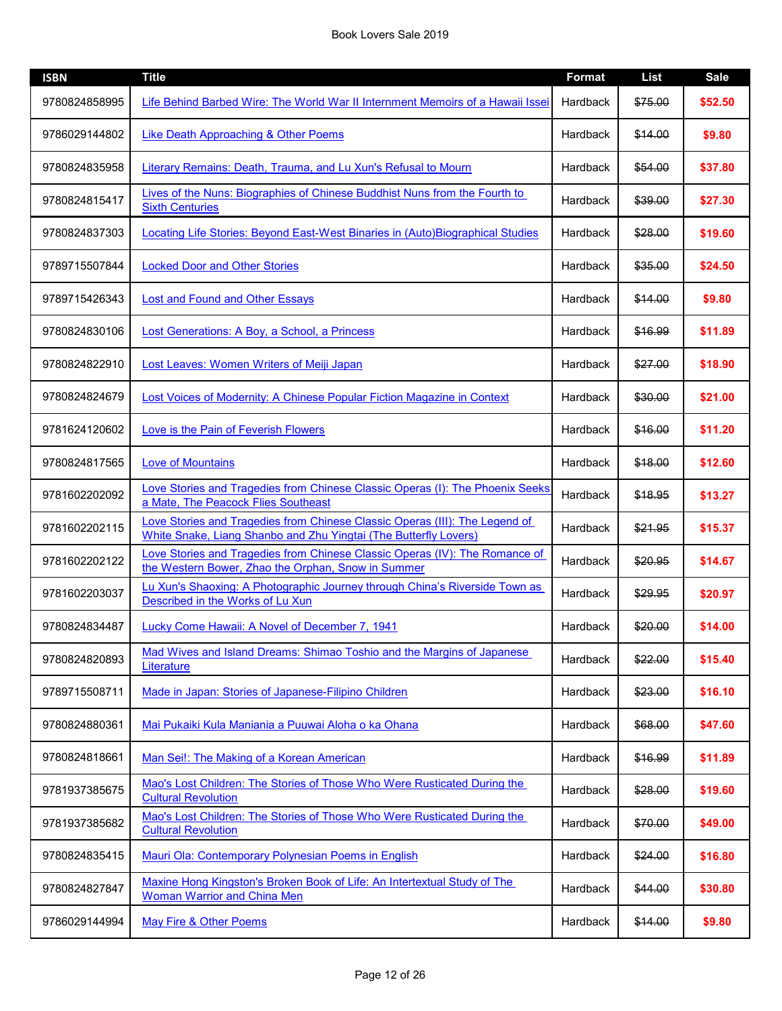| <b>ISBN</b>   | <b>Title</b>                                                                                                                                    | <b>Format</b> | <b>List</b> | <b>Sale</b> |
|---------------|-------------------------------------------------------------------------------------------------------------------------------------------------|---------------|-------------|-------------|
| 9780824858995 | Life Behind Barbed Wire: The World War II Internment Memoirs of a Hawaii Issei                                                                  | Hardback      | \$75.00     | \$52.50     |
| 9786029144802 | Like Death Approaching & Other Poems                                                                                                            | Hardback      | \$14.00     | \$9.80      |
| 9780824835958 | Literary Remains: Death, Trauma, and Lu Xun's Refusal to Mourn                                                                                  | Hardback      | \$54.00     | \$37.80     |
| 9780824815417 | Lives of the Nuns: Biographies of Chinese Buddhist Nuns from the Fourth to<br><b>Sixth Centuries</b>                                            | Hardback      | \$39.00     | \$27.30     |
| 9780824837303 | Locating Life Stories: Beyond East-West Binaries in (Auto)Biographical Studies                                                                  | Hardback      | \$28.00     | \$19.60     |
| 9789715507844 | <b>Locked Door and Other Stories</b>                                                                                                            | Hardback      | \$35.00     | \$24.50     |
| 9789715426343 | <b>Lost and Found and Other Essays</b>                                                                                                          | Hardback      | \$14.00     | \$9.80      |
| 9780824830106 | Lost Generations: A Boy, a School, a Princess                                                                                                   | Hardback      | \$16.99     | \$11.89     |
| 9780824822910 | Lost Leaves: Women Writers of Meiji Japan                                                                                                       | Hardback      | \$27.00     | \$18.90     |
| 9780824824679 | Lost Voices of Modernity: A Chinese Popular Fiction Magazine in Context                                                                         | Hardback      | \$30.00     | \$21.00     |
| 9781624120602 | Love is the Pain of Feverish Flowers                                                                                                            | Hardback      | \$16.00     | \$11.20     |
| 9780824817565 | <b>Love of Mountains</b>                                                                                                                        | Hardback      | \$18.00     | \$12.60     |
| 9781602202092 | Love Stories and Tragedies from Chinese Classic Operas (I): The Phoenix Seeks<br>a Mate, The Peacock Flies Southeast                            | Hardback      | \$18.95     | \$13.27     |
| 9781602202115 | Love Stories and Tragedies from Chinese Classic Operas (III): The Legend of<br>White Snake, Liang Shanbo and Zhu Yingtai (The Butterfly Lovers) | Hardback      | \$21.95     | \$15.37     |
| 9781602202122 | Love Stories and Tragedies from Chinese Classic Operas (IV): The Romance of<br>the Western Bower, Zhao the Orphan, Snow in Summer               | Hardback      | \$20.95     | \$14.67     |
| 9781602203037 | Lu Xun's Shaoxing: A Photographic Journey through China's Riverside Town as<br>Described in the Works of Lu Xun                                 | Hardback      | \$29.95     | \$20.97     |
| 9780824834487 | Lucky Come Hawaii: A Novel of December 7, 1941                                                                                                  | Hardback      | \$20.00     | \$14.00     |
| 9780824820893 | Mad Wives and Island Dreams: Shimao Toshio and the Margins of Japanese<br>Literature                                                            | Hardback      | \$22.00     | \$15.40     |
| 9789715508711 | Made in Japan: Stories of Japanese-Filipino Children                                                                                            | Hardback      | \$23.00     | \$16.10     |
| 9780824880361 | Mai Pukaiki Kula Maniania a Puuwai Aloha o ka Ohana                                                                                             | Hardback      | \$68.00     | \$47.60     |
| 9780824818661 | Man Sei!: The Making of a Korean American                                                                                                       | Hardback      | \$16.99     | \$11.89     |
| 9781937385675 | Mao's Lost Children: The Stories of Those Who Were Rusticated During the<br><b>Cultural Revolution</b>                                          | Hardback      | \$28.00     | \$19.60     |
| 9781937385682 | Mao's Lost Children: The Stories of Those Who Were Rusticated During the<br><b>Cultural Revolution</b>                                          | Hardback      | \$70.00     | \$49.00     |
| 9780824835415 | Mauri Ola: Contemporary Polynesian Poems in English                                                                                             | Hardback      | \$24.00     | \$16.80     |
| 9780824827847 | Maxine Hong Kingston's Broken Book of Life: An Intertextual Study of The<br><b>Woman Warrior and China Men</b>                                  | Hardback      | \$44.00     | \$30.80     |
| 9786029144994 | May Fire & Other Poems                                                                                                                          | Hardback      | \$14.00     | \$9.80      |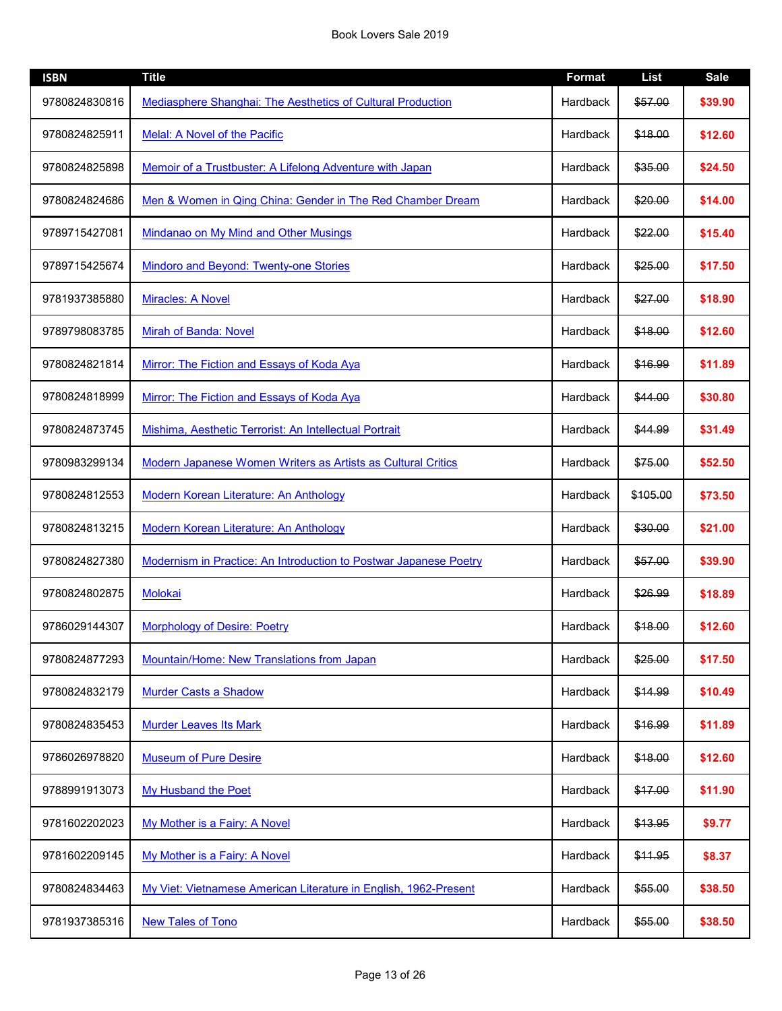| <b>ISBN</b>   | <b>Title</b>                                                      | <b>Format</b>   | <b>List</b> | <b>Sale</b> |
|---------------|-------------------------------------------------------------------|-----------------|-------------|-------------|
| 9780824830816 | Mediasphere Shanghai: The Aesthetics of Cultural Production       | Hardback        | \$57.00     | \$39.90     |
| 9780824825911 | Melal: A Novel of the Pacific                                     | Hardback        | \$18.00     | \$12.60     |
| 9780824825898 | Memoir of a Trustbuster: A Lifelong Adventure with Japan          | Hardback        | \$35.00     | \$24.50     |
| 9780824824686 | Men & Women in Qing China: Gender in The Red Chamber Dream        | <b>Hardback</b> | \$20.00     | \$14.00     |
| 9789715427081 | <b>Mindanao on My Mind and Other Musings</b>                      | Hardback        | \$22.00     | \$15.40     |
| 9789715425674 | Mindoro and Beyond: Twenty-one Stories                            | Hardback        | \$25.00     | \$17.50     |
| 9781937385880 | <b>Miracles: A Novel</b>                                          | Hardback        | \$27.00     | \$18.90     |
| 9789798083785 | Mirah of Banda: Novel                                             | Hardback        | \$18.00     | \$12.60     |
| 9780824821814 | Mirror: The Fiction and Essays of Koda Aya                        | Hardback        | \$16.99     | \$11.89     |
| 9780824818999 | Mirror: The Fiction and Essays of Koda Aya                        | Hardback        | \$44.00     | \$30.80     |
| 9780824873745 | Mishima, Aesthetic Terrorist: An Intellectual Portrait            | Hardback        | \$44.99     | \$31.49     |
| 9780983299134 | Modern Japanese Women Writers as Artists as Cultural Critics      | Hardback        | \$75.00     | \$52.50     |
| 9780824812553 | <b>Modern Korean Literature: An Anthology</b>                     | Hardback        | \$105.00    | \$73.50     |
| 9780824813215 | Modern Korean Literature: An Anthology                            | Hardback        | \$30.00     | \$21.00     |
| 9780824827380 | Modernism in Practice: An Introduction to Postwar Japanese Poetry | Hardback        | \$57.00     | \$39.90     |
| 9780824802875 | Molokai                                                           | Hardback        | \$26.99     | \$18.89     |
| 9786029144307 | <b>Morphology of Desire: Poetry</b>                               | Hardback        | \$18.00     | \$12.60     |
| 9780824877293 | Mountain/Home: New Translations from Japan                        | Hardback        | \$25.00     | \$17.50     |
| 9780824832179 | <b>Murder Casts a Shadow</b>                                      | Hardback        | \$14.99     | \$10.49     |
| 9780824835453 | <b>Murder Leaves Its Mark</b>                                     | Hardback        | \$16.99     | \$11.89     |
| 9786026978820 | <b>Museum of Pure Desire</b>                                      | Hardback        | \$18.00     | \$12.60     |
| 9788991913073 | My Husband the Poet                                               | Hardback        | \$17.00     | \$11.90     |
| 9781602202023 | My Mother is a Fairy: A Novel                                     | Hardback        | \$13.95     | \$9.77      |
| 9781602209145 | My Mother is a Fairy: A Novel                                     | Hardback        | \$11.95     | \$8.37      |
| 9780824834463 | My Viet: Vietnamese American Literature in English, 1962-Present  | Hardback        | \$55.00     | \$38.50     |
| 9781937385316 | <b>New Tales of Tono</b>                                          | Hardback        | \$55.00     | \$38.50     |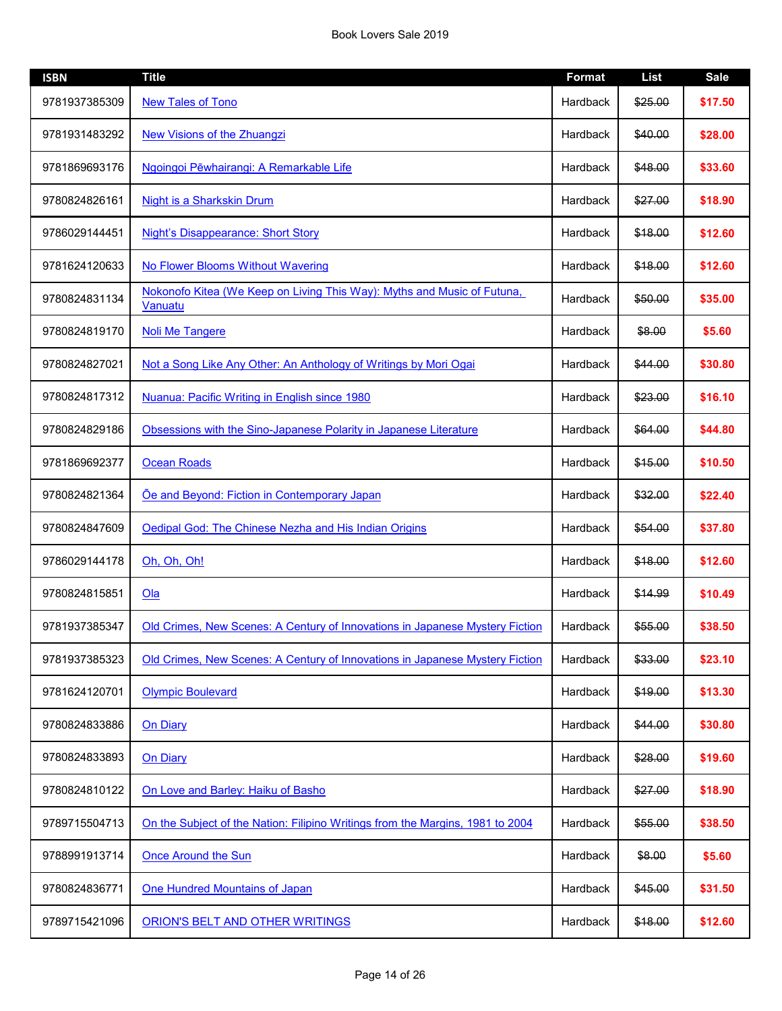| <b>ISBN</b>   | <b>Title</b>                                                                       | <b>Format</b>   | <b>List</b> | <b>Sale</b> |
|---------------|------------------------------------------------------------------------------------|-----------------|-------------|-------------|
| 9781937385309 | <b>New Tales of Tono</b>                                                           | Hardback        | \$25.00     | \$17.50     |
| 9781931483292 | New Visions of the Zhuangzi                                                        | Hardback        | \$40.00     | \$28.00     |
| 9781869693176 | Ngoingoi Pēwhairangi: A Remarkable Life                                            | Hardback        | \$48.00     | \$33.60     |
| 9780824826161 | Night is a Sharkskin Drum                                                          | Hardback        | \$27.00     | \$18.90     |
| 9786029144451 | <b>Night's Disappearance: Short Story</b>                                          | Hardback        | \$18.00     | \$12.60     |
| 9781624120633 | No Flower Blooms Without Wavering                                                  | Hardback        | \$18.00     | \$12.60     |
| 9780824831134 | Nokonofo Kitea (We Keep on Living This Way): Myths and Music of Futuna,<br>Vanuatu | Hardback        | \$50.00     | \$35.00     |
| 9780824819170 | <b>Noli Me Tangere</b>                                                             | Hardback        | \$8.00      | \$5.60      |
| 9780824827021 | Not a Song Like Any Other: An Anthology of Writings by Mori Ogai                   | <b>Hardback</b> | \$44.00     | \$30.80     |
| 9780824817312 | Nuanua: Pacific Writing in English since 1980                                      | Hardback        | \$23.00     | \$16.10     |
| 9780824829186 | Obsessions with the Sino-Japanese Polarity in Japanese Literature                  | Hardback        | \$64.00     | \$44.80     |
| 9781869692377 | <b>Ocean Roads</b>                                                                 | Hardback        | \$15.00     | \$10.50     |
| 9780824821364 | Oe and Beyond: Fiction in Contemporary Japan                                       | Hardback        | \$32.00     | \$22.40     |
| 9780824847609 | Oedipal God: The Chinese Nezha and His Indian Origins                              | Hardback        | \$54.00     | \$37.80     |
| 9786029144178 | Oh, Oh, Oh!                                                                        | Hardback        | \$18.00     | \$12.60     |
| 9780824815851 | Oa                                                                                 | Hardback        | \$14.99     | \$10.49     |
| 9781937385347 | Old Crimes, New Scenes: A Century of Innovations in Japanese Mystery Fiction       | Hardback        | \$55.00     | \$38.50     |
| 9781937385323 | Old Crimes, New Scenes: A Century of Innovations in Japanese Mystery Fiction       | Hardback        | \$33.00     | \$23.10     |
| 9781624120701 | <b>Olympic Boulevard</b>                                                           | Hardback        | \$19.00     | \$13.30     |
| 9780824833886 | <b>On Diary</b>                                                                    | Hardback        | \$44.00     | \$30.80     |
| 9780824833893 | <b>On Diary</b>                                                                    | Hardback        | \$28.00     | \$19.60     |
| 9780824810122 | On Love and Barley: Haiku of Basho                                                 | Hardback        | \$27.00     | \$18.90     |
| 9789715504713 | On the Subject of the Nation: Filipino Writings from the Margins, 1981 to 2004     | Hardback        | \$55.00     | \$38.50     |
| 9788991913714 | <b>Once Around the Sun</b>                                                         | Hardback        | \$8.00      | \$5.60      |
| 9780824836771 | One Hundred Mountains of Japan                                                     | Hardback        | \$45.00     | \$31.50     |
| 9789715421096 | ORION'S BELT AND OTHER WRITINGS                                                    | Hardback        | \$18.00     | \$12.60     |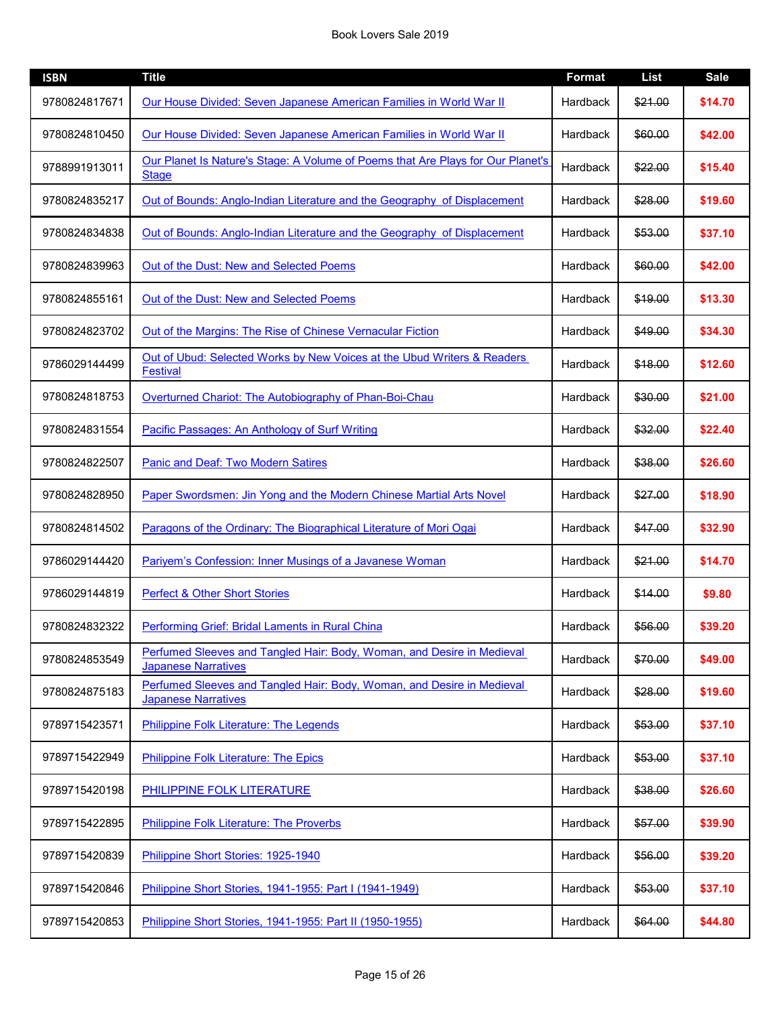## Book Lovers Sale 2019

| <b>ISBN</b>   | <b>Title</b>                                                                                         | Format          | <b>List</b> | <b>Sale</b> |
|---------------|------------------------------------------------------------------------------------------------------|-----------------|-------------|-------------|
| 9780824817671 | Our House Divided: Seven Japanese American Families in World War II                                  | Hardback        | \$21.00     | \$14.70     |
| 9780824810450 | Our House Divided: Seven Japanese American Families in World War II                                  | Hardback        | \$60.00     | \$42.00     |
| 9788991913011 | Our Planet Is Nature's Stage: A Volume of Poems that Are Plays for Our Planet's<br><b>Stage</b>      | Hardback        | \$22.00     | \$15.40     |
| 9780824835217 | Out of Bounds: Anglo-Indian Literature and the Geography of Displacement                             | Hardback        | \$28.00     | \$19.60     |
| 9780824834838 | Out of Bounds: Anglo-Indian Literature and the Geography of Displacement                             | Hardback        | \$53.00     | \$37.10     |
| 9780824839963 | Out of the Dust: New and Selected Poems                                                              | Hardback        | \$60.00     | \$42.00     |
| 9780824855161 | Out of the Dust: New and Selected Poems                                                              | Hardback        | \$19.00     | \$13.30     |
| 9780824823702 | Out of the Margins: The Rise of Chinese Vernacular Fiction                                           | Hardback        | \$49.00     | \$34.30     |
| 9786029144499 | Out of Ubud: Selected Works by New Voices at the Ubud Writers & Readers<br><b>Festival</b>           | Hardback        | \$18.00     | \$12.60     |
| 9780824818753 | Overturned Chariot: The Autobiography of Phan-Boi-Chau                                               | <b>Hardback</b> | \$30.00     | \$21.00     |
| 9780824831554 | Pacific Passages: An Anthology of Surf Writing                                                       | Hardback        | \$32.00     | \$22.40     |
| 9780824822507 | <b>Panic and Deaf: Two Modern Satires</b>                                                            | Hardback        | \$38.00     | \$26.60     |
| 9780824828950 | Paper Swordsmen: Jin Yong and the Modern Chinese Martial Arts Novel                                  | Hardback        | \$27.00     | \$18.90     |
| 9780824814502 | Paragons of the Ordinary: The Biographical Literature of Mori Ogai                                   | Hardback        | \$47.00     | \$32.90     |
| 9786029144420 | Pariyem's Confession: Inner Musings of a Javanese Woman                                              | Hardback        | \$21.00     | \$14.70     |
| 9786029144819 | <b>Perfect &amp; Other Short Stories</b>                                                             | Hardback        | \$14.00     | \$9.80      |
| 9780824832322 | Performing Grief: Bridal Laments in Rural China                                                      | Hardback        | \$56.00     | \$39.20     |
| 9780824853549 | Perfumed Sleeves and Tangled Hair: Body, Woman, and Desire in Medieval<br><b>Japanese Narratives</b> | Hardback        | \$70.00     | \$49.00     |
| 9780824875183 | Perfumed Sleeves and Tangled Hair: Body, Woman, and Desire in Medieval<br><b>Japanese Narratives</b> | Hardback        | \$28.00     | \$19.60     |
| 9789715423571 | Philippine Folk Literature: The Legends                                                              | Hardback        | \$53.00     | \$37.10     |
| 9789715422949 | Philippine Folk Literature: The Epics                                                                | Hardback        | \$53.00     | \$37.10     |
| 9789715420198 | PHILIPPINE FOLK LITERATURE                                                                           | Hardback        | \$38.00     | \$26.60     |
| 9789715422895 | <b>Philippine Folk Literature: The Proverbs</b>                                                      | Hardback        | \$57.00     | \$39.90     |
| 9789715420839 | Philippine Short Stories: 1925-1940                                                                  | Hardback        | \$56.00     | \$39.20     |
| 9789715420846 | Philippine Short Stories, 1941-1955: Part I (1941-1949)                                              | Hardback        | \$53.00     | \$37.10     |
| 9789715420853 | Philippine Short Stories, 1941-1955: Part II (1950-1955)                                             | Hardback        | \$64.00     | \$44.80     |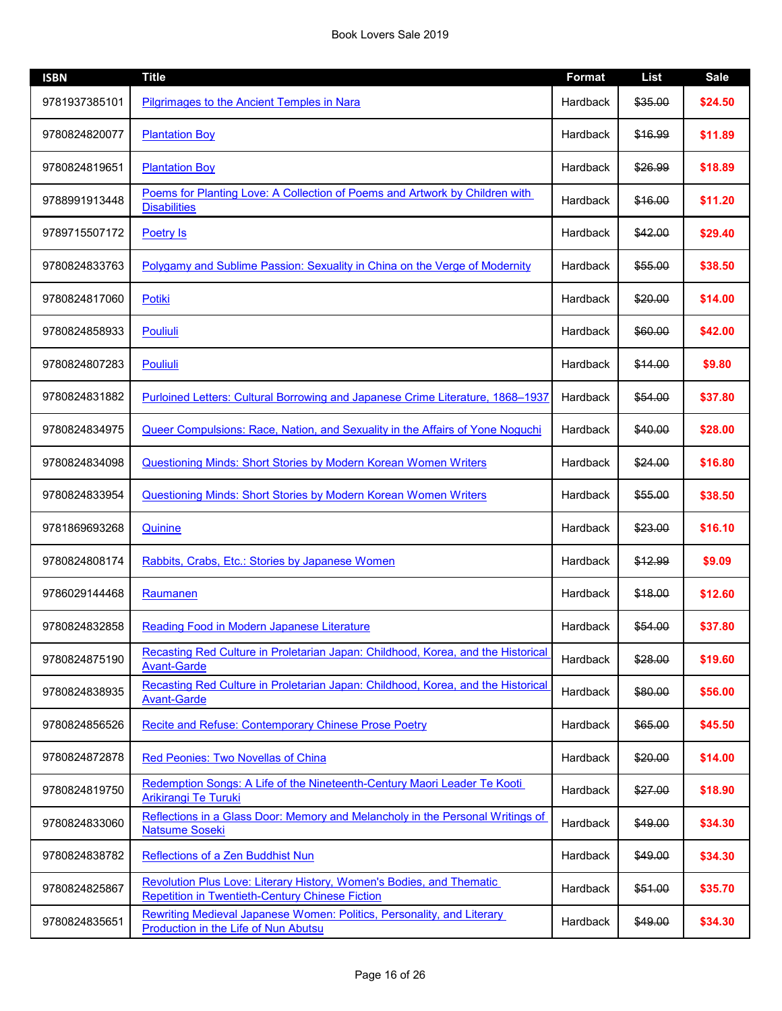| <b>ISBN</b>   | <b>Title</b>                                                                                                                   | <b>Format</b> | List    | <b>Sale</b> |
|---------------|--------------------------------------------------------------------------------------------------------------------------------|---------------|---------|-------------|
| 9781937385101 | Pilgrimages to the Ancient Temples in Nara                                                                                     | Hardback      | \$35.00 | \$24.50     |
| 9780824820077 | <b>Plantation Boy</b>                                                                                                          | Hardback      | \$16.99 | \$11.89     |
| 9780824819651 | <b>Plantation Boy</b>                                                                                                          | Hardback      | \$26.99 | \$18.89     |
| 9788991913448 | Poems for Planting Love: A Collection of Poems and Artwork by Children with<br><b>Disabilities</b>                             | Hardback      | \$16.00 | \$11.20     |
| 9789715507172 | <b>Poetry Is</b>                                                                                                               | Hardback      | \$42.00 | \$29.40     |
| 9780824833763 | Polygamy and Sublime Passion: Sexuality in China on the Verge of Modernity                                                     | Hardback      | \$55.00 | \$38.50     |
| 9780824817060 | Potiki                                                                                                                         | Hardback      | \$20.00 | \$14.00     |
| 9780824858933 | Pouliuli                                                                                                                       | Hardback      | \$60.00 | \$42.00     |
| 9780824807283 | <b>Pouliuli</b>                                                                                                                | Hardback      | \$14.00 | \$9.80      |
| 9780824831882 | Purloined Letters: Cultural Borrowing and Japanese Crime Literature, 1868–1937                                                 | Hardback      | \$54.00 | \$37.80     |
| 9780824834975 | <b>Queer Compulsions: Race, Nation, and Sexuality in the Affairs of Yone Noguchi</b>                                           | Hardback      | \$40.00 | \$28.00     |
| 9780824834098 | <b>Questioning Minds: Short Stories by Modern Korean Women Writers</b>                                                         | Hardback      | \$24.00 | \$16.80     |
| 9780824833954 | <b>Questioning Minds: Short Stories by Modern Korean Women Writers</b>                                                         | Hardback      | \$55.00 | \$38.50     |
| 9781869693268 | Quinine                                                                                                                        | Hardback      | \$23.00 | \$16.10     |
| 9780824808174 | Rabbits, Crabs, Etc.: Stories by Japanese Women                                                                                | Hardback      | \$12.99 | \$9.09      |
| 9786029144468 | Raumanen                                                                                                                       | Hardback      | \$18.00 | \$12.60     |
| 9780824832858 | Reading Food in Modern Japanese Literature                                                                                     | Hardback      | \$54.00 | \$37.80     |
| 9780824875190 | Recasting Red Culture in Proletarian Japan: Childhood, Korea, and the Historical<br><b>Avant-Garde</b>                         | Hardback      | \$28.00 | \$19.60     |
| 9780824838935 | Recasting Red Culture in Proletarian Japan: Childhood, Korea, and the Historical<br><b>Avant-Garde</b>                         | Hardback      | \$80.00 | \$56.00     |
| 9780824856526 | Recite and Refuse: Contemporary Chinese Prose Poetry                                                                           | Hardback      | \$65.00 | \$45.50     |
| 9780824872878 | Red Peonies: Two Novellas of China                                                                                             | Hardback      | \$20.00 | \$14.00     |
| 9780824819750 | Redemption Songs: A Life of the Nineteenth-Century Maori Leader Te Kooti<br>Arikirangi Te Turuki                               | Hardback      | \$27.00 | \$18.90     |
| 9780824833060 | Reflections in a Glass Door: Memory and Melancholy in the Personal Writings of<br><b>Natsume Soseki</b>                        | Hardback      | \$49.00 | \$34.30     |
| 9780824838782 | Reflections of a Zen Buddhist Nun                                                                                              | Hardback      | \$49.00 | \$34.30     |
| 9780824825867 | Revolution Plus Love: Literary History, Women's Bodies, and Thematic<br><b>Repetition in Twentieth-Century Chinese Fiction</b> | Hardback      | \$51.00 | \$35.70     |
| 9780824835651 | Rewriting Medieval Japanese Women: Politics, Personality, and Literary<br>Production in the Life of Nun Abutsu                 | Hardback      | \$49.00 | \$34.30     |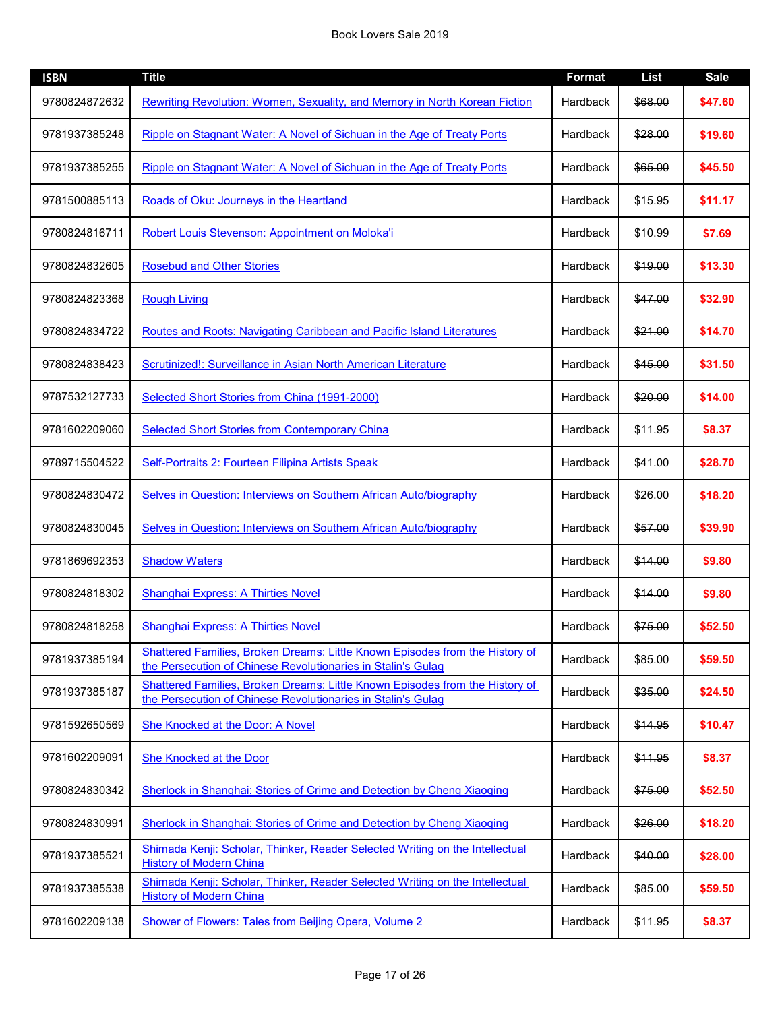| <b>ISBN</b>   | <b>Title</b>                                                                                                                                 | <b>Format</b> | <b>List</b> | <b>Sale</b> |
|---------------|----------------------------------------------------------------------------------------------------------------------------------------------|---------------|-------------|-------------|
| 9780824872632 | Rewriting Revolution: Women, Sexuality, and Memory in North Korean Fiction                                                                   | Hardback      | \$68.00     | \$47.60     |
| 9781937385248 | Ripple on Stagnant Water: A Novel of Sichuan in the Age of Treaty Ports                                                                      | Hardback      | \$28.00     | \$19.60     |
| 9781937385255 | Ripple on Stagnant Water: A Novel of Sichuan in the Age of Treaty Ports                                                                      | Hardback      | \$65.00     | \$45.50     |
| 9781500885113 | Roads of Oku: Journeys in the Heartland                                                                                                      | Hardback      | \$15.95     | \$11.17     |
| 9780824816711 | Robert Louis Stevenson: Appointment on Moloka'i                                                                                              | Hardback      | \$10.99     | \$7.69      |
| 9780824832605 | <b>Rosebud and Other Stories</b>                                                                                                             | Hardback      | \$19.00     | \$13.30     |
| 9780824823368 | <b>Rough Living</b>                                                                                                                          | Hardback      | \$47.00     | \$32.90     |
| 9780824834722 | Routes and Roots: Navigating Caribbean and Pacific Island Literatures                                                                        | Hardback      | \$21.00     | \$14.70     |
| 9780824838423 | Scrutinized!: Surveillance in Asian North American Literature                                                                                | Hardback      | \$45.00     | \$31.50     |
| 9787532127733 | Selected Short Stories from China (1991-2000)                                                                                                | Hardback      | \$20.00     | \$14.00     |
| 9781602209060 | <b>Selected Short Stories from Contemporary China</b>                                                                                        | Hardback      | \$11.95     | \$8.37      |
| 9789715504522 | Self-Portraits 2: Fourteen Filipina Artists Speak                                                                                            | Hardback      | \$41.00     | \$28.70     |
| 9780824830472 | Selves in Question: Interviews on Southern African Auto/biography                                                                            | Hardback      | \$26.00     | \$18.20     |
| 9780824830045 | Selves in Question: Interviews on Southern African Auto/biography                                                                            | Hardback      | \$57.00     | \$39.90     |
| 9781869692353 | <b>Shadow Waters</b>                                                                                                                         | Hardback      | \$14.00     | \$9.80      |
| 9780824818302 | <b>Shanghai Express: A Thirties Novel</b>                                                                                                    | Hardback      | \$14.00     | \$9.80      |
| 9780824818258 | <b>Shanghai Express: A Thirties Novel</b>                                                                                                    | Hardback      | \$75.00     | \$52.50     |
| 9781937385194 | Shattered Families, Broken Dreams: Little Known Episodes from the History of<br>the Persecution of Chinese Revolutionaries in Stalin's Gulag | Hardback      | \$85.00     | \$59.50     |
| 9781937385187 | Shattered Families, Broken Dreams: Little Known Episodes from the History of<br>the Persecution of Chinese Revolutionaries in Stalin's Gulag | Hardback      | \$35.00     | \$24.50     |
| 9781592650569 | She Knocked at the Door: A Novel                                                                                                             | Hardback      | \$14.95     | \$10.47     |
| 9781602209091 | She Knocked at the Door                                                                                                                      | Hardback      | \$11.95     | \$8.37      |
| 9780824830342 | Sherlock in Shanghai: Stories of Crime and Detection by Cheng Xiaoqing                                                                       | Hardback      | \$75.00     | \$52.50     |
| 9780824830991 | Sherlock in Shanghai: Stories of Crime and Detection by Cheng Xiaoqing                                                                       | Hardback      | \$26.00     | \$18.20     |
| 9781937385521 | Shimada Kenji: Scholar, Thinker, Reader Selected Writing on the Intellectual<br><b>History of Modern China</b>                               | Hardback      | \$40.00     | \$28.00     |
| 9781937385538 | Shimada Kenji: Scholar, Thinker, Reader Selected Writing on the Intellectual<br><b>History of Modern China</b>                               | Hardback      | \$85.00     | \$59.50     |
| 9781602209138 | Shower of Flowers: Tales from Beijing Opera, Volume 2                                                                                        | Hardback      | \$11.95     | \$8.37      |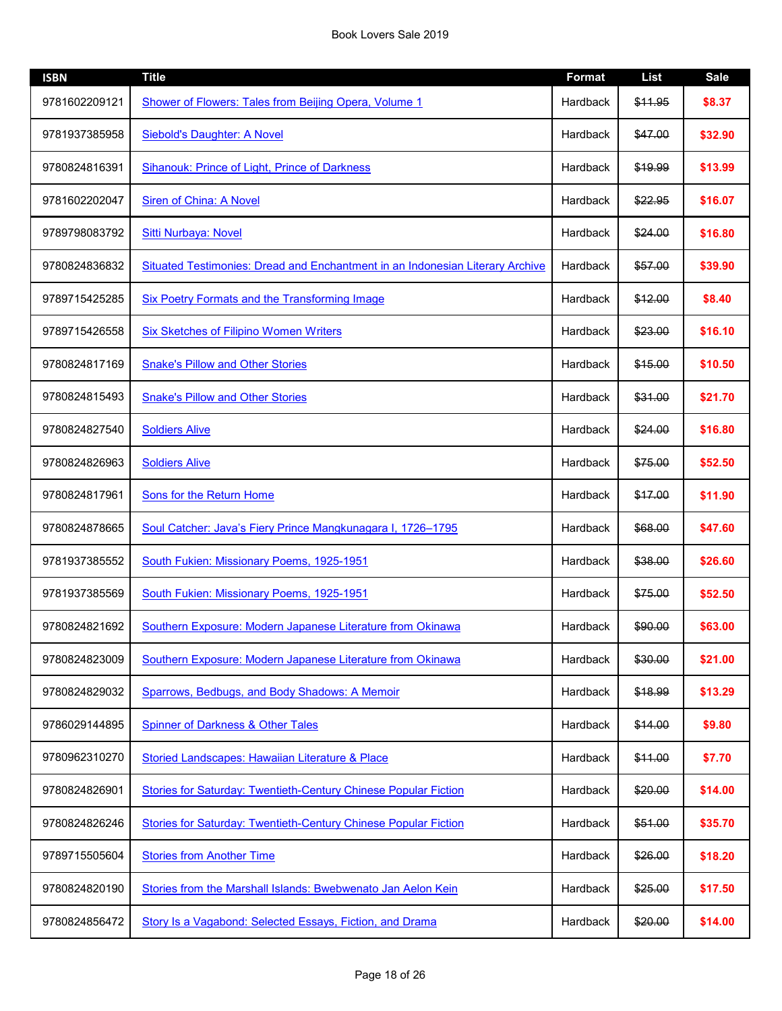| <b>ISBN</b>   | <b>Title</b>                                                                  | <b>Format</b> | <b>List</b> | <b>Sale</b> |
|---------------|-------------------------------------------------------------------------------|---------------|-------------|-------------|
| 9781602209121 | Shower of Flowers: Tales from Beijing Opera, Volume 1                         | Hardback      | \$11.95     | \$8.37      |
| 9781937385958 | Siebold's Daughter: A Novel                                                   | Hardback      | \$47.00     | \$32.90     |
| 9780824816391 | <b>Sihanouk: Prince of Light, Prince of Darkness</b>                          | Hardback      | \$19.99     | \$13.99     |
| 9781602202047 | Siren of China: A Novel                                                       | Hardback      | \$22.95     | \$16.07     |
| 9789798083792 | Sitti Nurbaya: Novel                                                          | Hardback      | \$24.00     | \$16.80     |
| 9780824836832 | Situated Testimonies: Dread and Enchantment in an Indonesian Literary Archive | Hardback      | \$57.00     | \$39.90     |
| 9789715425285 | <b>Six Poetry Formats and the Transforming Image</b>                          | Hardback      | \$12.00     | \$8.40      |
| 9789715426558 | <b>Six Sketches of Filipino Women Writers</b>                                 | Hardback      | \$23.00     | \$16.10     |
| 9780824817169 | <b>Snake's Pillow and Other Stories</b>                                       | Hardback      | \$15.00     | \$10.50     |
| 9780824815493 | <b>Snake's Pillow and Other Stories</b>                                       | Hardback      | \$31.00     | \$21.70     |
| 9780824827540 | <b>Soldiers Alive</b>                                                         | Hardback      | \$24.00     | \$16.80     |
| 9780824826963 | <b>Soldiers Alive</b>                                                         | Hardback      | \$75.00     | \$52.50     |
| 9780824817961 | <b>Sons for the Return Home</b>                                               | Hardback      | \$17.00     | \$11.90     |
| 9780824878665 | Soul Catcher: Java's Fiery Prince Mangkunagara I, 1726-1795                   | Hardback      | \$68.00     | \$47.60     |
| 9781937385552 | South Fukien: Missionary Poems, 1925-1951                                     | Hardback      | \$38.00     | \$26.60     |
| 9781937385569 | South Fukien: Missionary Poems, 1925-1951                                     | Hardback      | \$75.00     | \$52.50     |
| 9780824821692 | Southern Exposure: Modern Japanese Literature from Okinawa                    | Hardback      | \$90.00     | \$63.00     |
| 9780824823009 | Southern Exposure: Modern Japanese Literature from Okinawa                    | Hardback      | \$30.00     | \$21.00     |
| 9780824829032 | Sparrows, Bedbugs, and Body Shadows: A Memoir                                 | Hardback      | \$18.99     | \$13.29     |
| 9786029144895 | <b>Spinner of Darkness &amp; Other Tales</b>                                  | Hardback      | \$14.00     | \$9.80      |
| 9780962310270 | Storied Landscapes: Hawaiian Literature & Place                               | Hardback      | \$11.00     | \$7.70      |
| 9780824826901 | Stories for Saturday: Twentieth-Century Chinese Popular Fiction               | Hardback      | \$20.00     | \$14.00     |
| 9780824826246 | Stories for Saturday: Twentieth-Century Chinese Popular Fiction               | Hardback      | \$51.00     | \$35.70     |
| 9789715505604 | <b>Stories from Another Time</b>                                              | Hardback      | \$26.00     | \$18.20     |
| 9780824820190 | Stories from the Marshall Islands: Bwebwenato Jan Aelon Kein                  | Hardback      | \$25.00     | \$17.50     |
| 9780824856472 | Story Is a Vagabond: Selected Essays, Fiction, and Drama                      | Hardback      | \$20.00     | \$14.00     |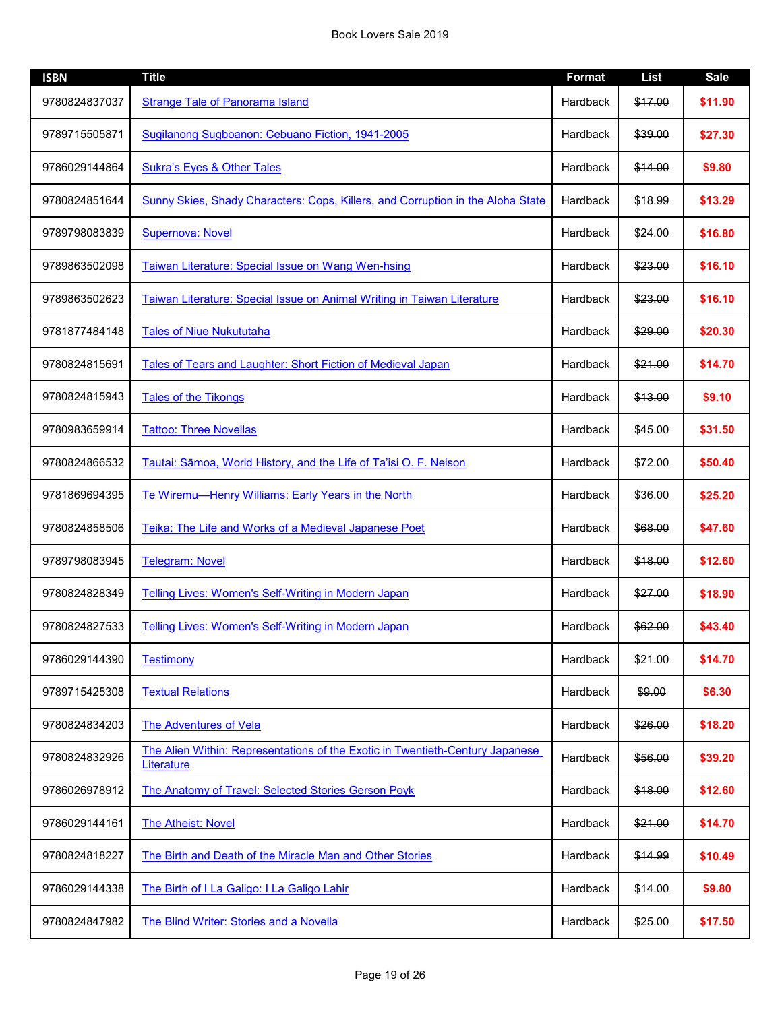| <b>ISBN</b>   | <b>Title</b>                                                                                | <b>Format</b> | <b>List</b> | <b>Sale</b> |
|---------------|---------------------------------------------------------------------------------------------|---------------|-------------|-------------|
| 9780824837037 | <b>Strange Tale of Panorama Island</b>                                                      | Hardback      | \$17.00     | \$11.90     |
| 9789715505871 | Sugilanong Sugboanon: Cebuano Fiction, 1941-2005                                            | Hardback      | \$39.00     | \$27.30     |
| 9786029144864 | <b>Sukra's Eyes &amp; Other Tales</b>                                                       | Hardback      | \$14.00     | \$9.80      |
| 9780824851644 | Sunny Skies, Shady Characters: Cops, Killers, and Corruption in the Aloha State             | Hardback      | \$18.99     | \$13.29     |
| 9789798083839 | <b>Supernova: Novel</b>                                                                     | Hardback      | \$24.00     | \$16.80     |
| 9789863502098 | Taiwan Literature: Special Issue on Wang Wen-hsing                                          | Hardback      | \$23.00     | \$16.10     |
| 9789863502623 | Taiwan Literature: Special Issue on Animal Writing in Taiwan Literature                     | Hardback      | \$23.00     | \$16.10     |
| 9781877484148 | <b>Tales of Niue Nukututaha</b>                                                             | Hardback      | \$29.00     | \$20.30     |
| 9780824815691 | Tales of Tears and Laughter: Short Fiction of Medieval Japan                                | Hardback      | \$21.00     | \$14.70     |
| 9780824815943 | <b>Tales of the Tikongs</b>                                                                 | Hardback      | \$13.00     | \$9.10      |
| 9780983659914 | <b>Tattoo: Three Novellas</b>                                                               | Hardback      | \$45.00     | \$31.50     |
| 9780824866532 | Tautai: Sāmoa, World History, and the Life of Ta'isi O. F. Nelson                           | Hardback      | \$72.00     | \$50.40     |
| 9781869694395 | Te Wiremu-Henry Williams: Early Years in the North                                          | Hardback      | \$36.00     | \$25.20     |
| 9780824858506 | Teika: The Life and Works of a Medieval Japanese Poet                                       | Hardback      | \$68.00     | \$47.60     |
| 9789798083945 | <b>Telegram: Novel</b>                                                                      | Hardback      | \$18.00     | \$12.60     |
| 9780824828349 | Telling Lives: Women's Self-Writing in Modern Japan                                         | Hardback      | \$27.00     | \$18.90     |
| 9780824827533 | Telling Lives: Women's Self-Writing in Modern Japan                                         | Hardback      | \$62.00     | \$43.40     |
| 9786029144390 | <b>Testimony</b>                                                                            | Hardback      | \$21.00     | \$14.70     |
| 9789715425308 | <b>Textual Relations</b>                                                                    | Hardback      | \$9.00      | \$6.30      |
| 9780824834203 | <b>The Adventures of Vela</b>                                                               | Hardback      | \$26.00     | \$18.20     |
| 9780824832926 | The Alien Within: Representations of the Exotic in Twentieth-Century Japanese<br>Literature | Hardback      | \$56.00     | \$39.20     |
| 9786026978912 | The Anatomy of Travel: Selected Stories Gerson Poyk                                         | Hardback      | \$18.00     | \$12.60     |
| 9786029144161 | <b>The Atheist: Novel</b>                                                                   | Hardback      | \$21.00     | \$14.70     |
| 9780824818227 | The Birth and Death of the Miracle Man and Other Stories                                    | Hardback      | \$14.99     | \$10.49     |
| 9786029144338 | The Birth of I La Galigo: I La Galigo Lahir                                                 | Hardback      | \$14.00     | \$9.80      |
| 9780824847982 | The Blind Writer: Stories and a Novella                                                     | Hardback      | \$25.00     | \$17.50     |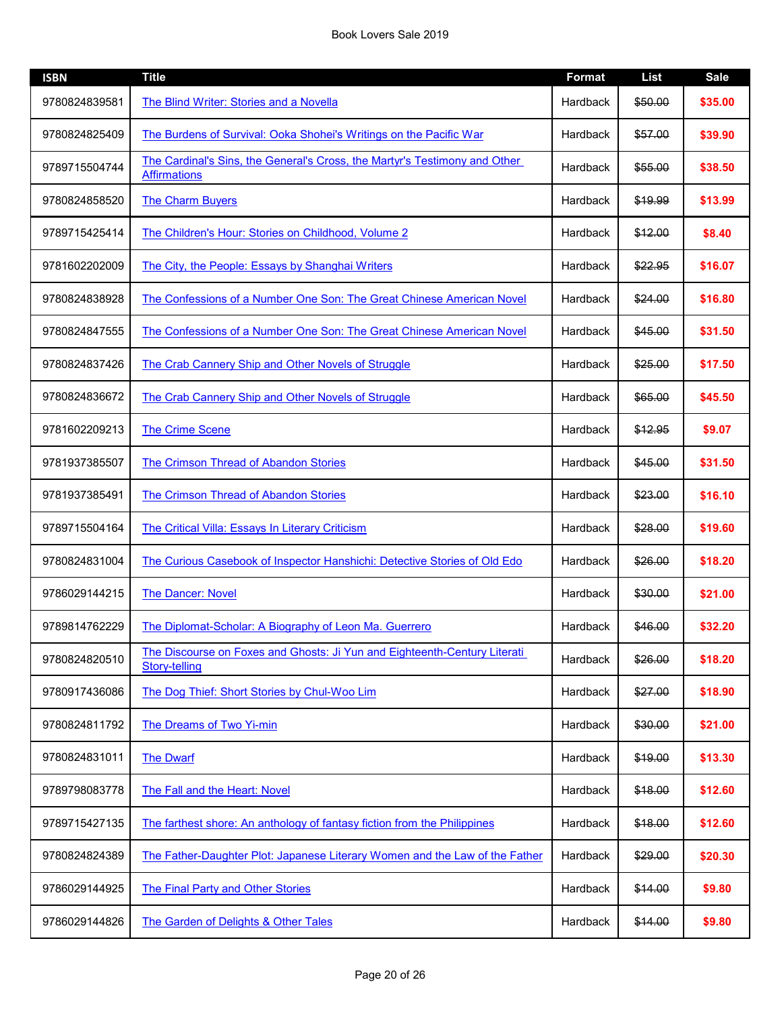| <b>ISBN</b>   | <b>Title</b>                                                                                      | <b>Format</b>   | <b>List</b> | <b>Sale</b> |
|---------------|---------------------------------------------------------------------------------------------------|-----------------|-------------|-------------|
| 9780824839581 | The Blind Writer: Stories and a Novella                                                           | Hardback        | \$50.00     | \$35.00     |
| 9780824825409 | The Burdens of Survival: Ooka Shohei's Writings on the Pacific War                                | Hardback        | \$57.00     | \$39.90     |
| 9789715504744 | The Cardinal's Sins, the General's Cross, the Martyr's Testimony and Other<br><b>Affirmations</b> | Hardback        | \$55.00     | \$38.50     |
| 9780824858520 | <b>The Charm Buyers</b>                                                                           | <b>Hardback</b> | \$19.99     | \$13.99     |
| 9789715425414 | The Children's Hour: Stories on Childhood, Volume 2                                               | Hardback        | \$12.00     | \$8.40      |
| 9781602202009 | The City, the People: Essays by Shanghai Writers                                                  | Hardback        | \$22.95     | \$16.07     |
| 9780824838928 | The Confessions of a Number One Son: The Great Chinese American Novel                             | Hardback        | \$24.00     | \$16.80     |
| 9780824847555 | The Confessions of a Number One Son: The Great Chinese American Novel                             | Hardback        | \$45.00     | \$31.50     |
| 9780824837426 | The Crab Cannery Ship and Other Novels of Struggle                                                | Hardback        | \$25.00     | \$17.50     |
| 9780824836672 | The Crab Cannery Ship and Other Novels of Struggle                                                | Hardback        | \$65.00     | \$45.50     |
| 9781602209213 | <b>The Crime Scene</b>                                                                            | Hardback        | \$12.95     | \$9.07      |
| 9781937385507 | The Crimson Thread of Abandon Stories                                                             | Hardback        | \$45.00     | \$31.50     |
| 9781937385491 | <b>The Crimson Thread of Abandon Stories</b>                                                      | Hardback        | \$23.00     | \$16.10     |
| 9789715504164 | <b>The Critical Villa: Essays In Literary Criticism</b>                                           | Hardback        | \$28.00     | \$19.60     |
| 9780824831004 | The Curious Casebook of Inspector Hanshichi: Detective Stories of Old Edo                         | Hardback        | \$26.00     | \$18.20     |
| 9786029144215 | <b>The Dancer: Novel</b>                                                                          | Hardback        | \$30.00     | \$21.00     |
| 9789814762229 | The Diplomat-Scholar: A Biography of Leon Ma. Guerrero                                            | Hardback        | \$46.00     | \$32.20     |
| 9780824820510 | The Discourse on Foxes and Ghosts: Ji Yun and Eighteenth-Century Literati<br><b>Story-telling</b> | Hardback        | \$26.00     | \$18.20     |
| 9780917436086 | The Dog Thief: Short Stories by Chul-Woo Lim                                                      | Hardback        | \$27.00     | \$18.90     |
| 9780824811792 | The Dreams of Two Yi-min                                                                          | Hardback        | \$30.00     | \$21.00     |
| 9780824831011 | <b>The Dwarf</b>                                                                                  | Hardback        | \$19.00     | \$13.30     |
| 9789798083778 | The Fall and the Heart: Novel                                                                     | Hardback        | \$18.00     | \$12.60     |
| 9789715427135 | The farthest shore: An anthology of fantasy fiction from the Philippines                          | Hardback        | \$18.00     | \$12.60     |
| 9780824824389 | The Father-Daughter Plot: Japanese Literary Women and the Law of the Father                       | Hardback        | \$29.00     | \$20.30     |
| 9786029144925 | The Final Party and Other Stories                                                                 | Hardback        | \$14.00     | \$9.80      |
| 9786029144826 | The Garden of Delights & Other Tales                                                              | Hardback        | \$14.00     | \$9.80      |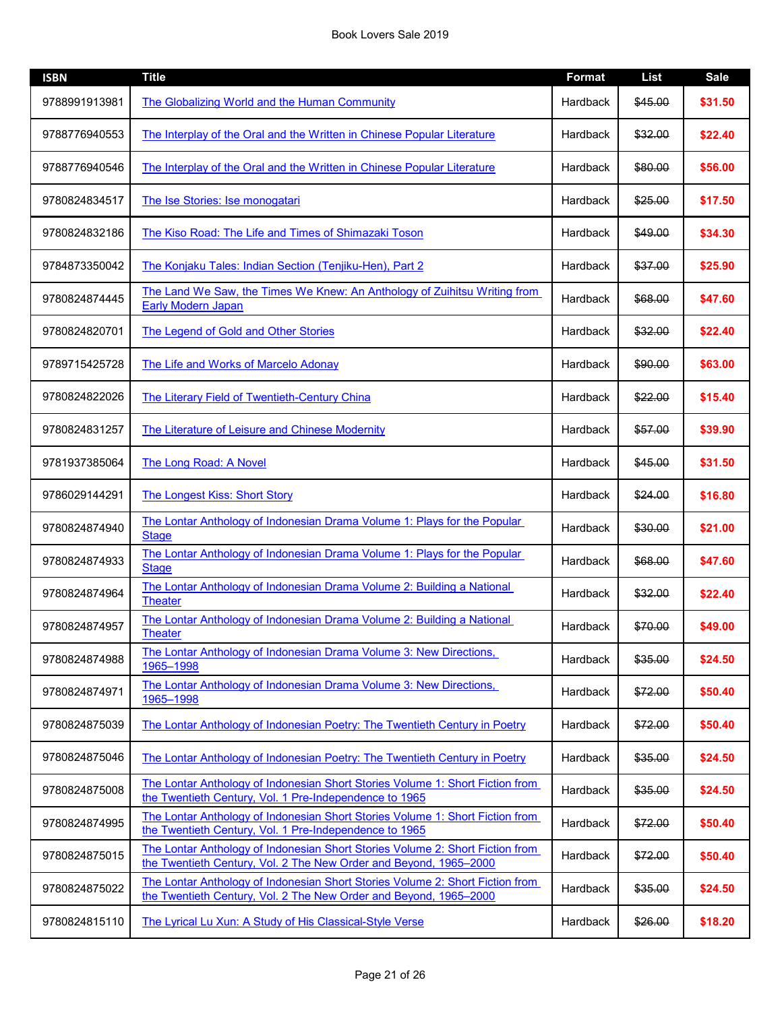| <b>ISBN</b>   | <b>Title</b>                                                                                                                                       | <b>Format</b>   | <b>List</b> | <b>Sale</b> |
|---------------|----------------------------------------------------------------------------------------------------------------------------------------------------|-----------------|-------------|-------------|
| 9788991913981 | The Globalizing World and the Human Community                                                                                                      | Hardback        | \$45.00     | \$31.50     |
| 9788776940553 | The Interplay of the Oral and the Written in Chinese Popular Literature                                                                            | Hardback        | \$32.00     | \$22.40     |
| 9788776940546 | The Interplay of the Oral and the Written in Chinese Popular Literature                                                                            | Hardback        | \$80.00     | \$56.00     |
| 9780824834517 | The Ise Stories: Ise monogatari                                                                                                                    | Hardback        | \$25.00     | \$17.50     |
| 9780824832186 | The Kiso Road: The Life and Times of Shimazaki Toson                                                                                               | Hardback        | \$49.00     | \$34.30     |
| 9784873350042 | The Konjaku Tales: Indian Section (Tenjiku-Hen), Part 2                                                                                            | Hardback        | \$37.00     | \$25.90     |
| 9780824874445 | The Land We Saw, the Times We Knew: An Anthology of Zuihitsu Writing from<br><b>Early Modern Japan</b>                                             | Hardback        | \$68.00     | \$47.60     |
| 9780824820701 | The Legend of Gold and Other Stories                                                                                                               | Hardback        | \$32.00     | \$22.40     |
| 9789715425728 | The Life and Works of Marcelo Adonay                                                                                                               | <b>Hardback</b> | \$90.00     | \$63.00     |
| 9780824822026 | The Literary Field of Twentieth-Century China                                                                                                      | Hardback        | \$22.00     | \$15.40     |
| 9780824831257 | The Literature of Leisure and Chinese Modernity                                                                                                    | Hardback        | \$57.00     | \$39.90     |
| 9781937385064 | The Long Road: A Novel                                                                                                                             | Hardback        | \$45.00     | \$31.50     |
| 9786029144291 | <b>The Longest Kiss: Short Story</b>                                                                                                               | Hardback        | \$24.00     | \$16.80     |
| 9780824874940 | The Lontar Anthology of Indonesian Drama Volume 1: Plays for the Popular<br><b>Stage</b>                                                           | Hardback        | \$30.00     | \$21.00     |
| 9780824874933 | The Lontar Anthology of Indonesian Drama Volume 1: Plays for the Popular<br><b>Stage</b>                                                           | Hardback        | \$68.00     | \$47.60     |
| 9780824874964 | The Lontar Anthology of Indonesian Drama Volume 2: Building a National<br><b>Theater</b>                                                           | Hardback        | \$32.00     | \$22.40     |
| 9780824874957 | The Lontar Anthology of Indonesian Drama Volume 2: Building a National<br><b>Theater</b>                                                           | Hardback        | \$70.00     | \$49.00     |
| 9780824874988 | The Lontar Anthology of Indonesian Drama Volume 3: New Directions,<br>1965-1998                                                                    | Hardback        | \$35.00     | \$24.50     |
| 9780824874971 | The Lontar Anthology of Indonesian Drama Volume 3: New Directions,<br>1965-1998                                                                    | Hardback        | \$72.00     | \$50.40     |
| 9780824875039 | The Lontar Anthology of Indonesian Poetry: The Twentieth Century in Poetry                                                                         | Hardback        | \$72.00     | \$50.40     |
| 9780824875046 | The Lontar Anthology of Indonesian Poetry: The Twentieth Century in Poetry                                                                         | Hardback        | \$35.00     | \$24.50     |
| 9780824875008 | The Lontar Anthology of Indonesian Short Stories Volume 1: Short Fiction from<br>the Twentieth Century, Vol. 1 Pre-Independence to 1965            | Hardback        | \$35.00     | \$24.50     |
| 9780824874995 | The Lontar Anthology of Indonesian Short Stories Volume 1: Short Fiction from<br>the Twentieth Century, Vol. 1 Pre-Independence to 1965            | Hardback        | \$72.00     | \$50.40     |
| 9780824875015 | The Lontar Anthology of Indonesian Short Stories Volume 2: Short Fiction from<br>the Twentieth Century, Vol. 2 The New Order and Beyond, 1965-2000 | Hardback        | \$72.00     | \$50.40     |
| 9780824875022 | The Lontar Anthology of Indonesian Short Stories Volume 2: Short Fiction from<br>the Twentieth Century, Vol. 2 The New Order and Beyond, 1965-2000 | Hardback        | \$35.00     | \$24.50     |
| 9780824815110 | The Lyrical Lu Xun: A Study of His Classical-Style Verse                                                                                           | Hardback        | \$26.00     | \$18.20     |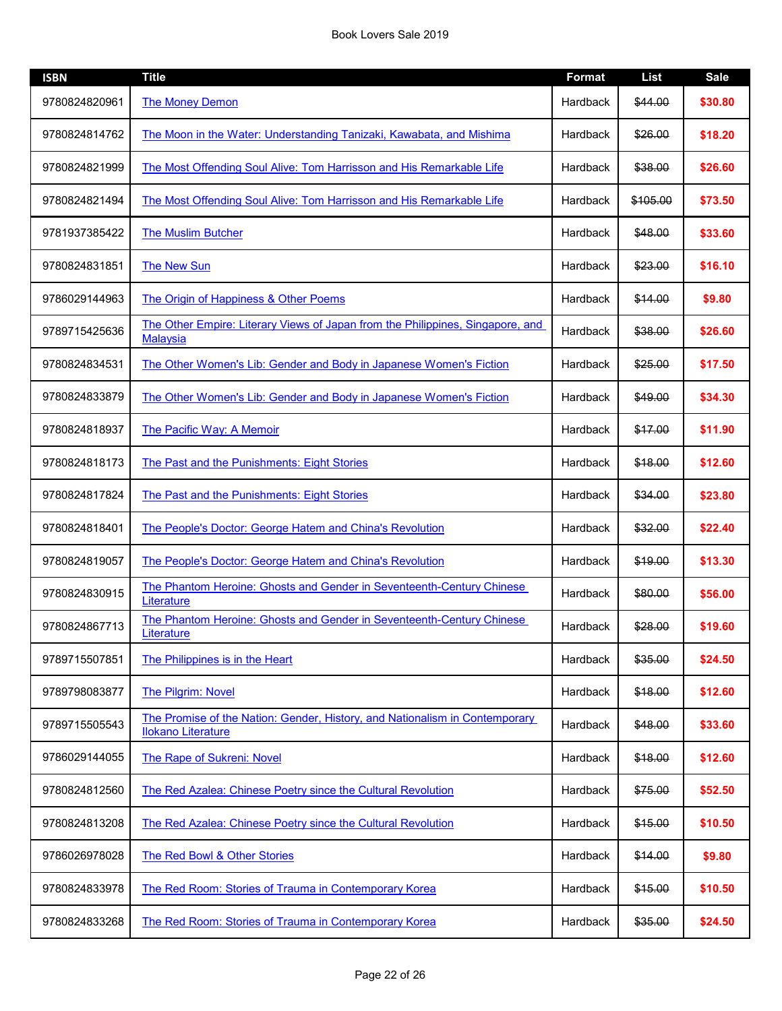| <b>ISBN</b>   | <b>Title</b>                                                                                             | <b>Format</b> | <b>List</b> | <b>Sale</b> |
|---------------|----------------------------------------------------------------------------------------------------------|---------------|-------------|-------------|
| 9780824820961 | <b>The Money Demon</b>                                                                                   | Hardback      | \$44.00     | \$30.80     |
| 9780824814762 | The Moon in the Water: Understanding Tanizaki, Kawabata, and Mishima                                     | Hardback      | \$26.00     | \$18.20     |
| 9780824821999 | The Most Offending Soul Alive: Tom Harrisson and His Remarkable Life                                     | Hardback      | \$38.00     | \$26.60     |
| 9780824821494 | The Most Offending Soul Alive: Tom Harrisson and His Remarkable Life                                     | Hardback      | \$105.00    | \$73.50     |
| 9781937385422 | <b>The Muslim Butcher</b>                                                                                | Hardback      | \$48.00     | \$33.60     |
| 9780824831851 | <b>The New Sun</b>                                                                                       | Hardback      | \$23.00     | \$16.10     |
| 9786029144963 | The Origin of Happiness & Other Poems                                                                    | Hardback      | \$14.00     | \$9.80      |
| 9789715425636 | The Other Empire: Literary Views of Japan from the Philippines, Singapore, and<br><b>Malaysia</b>        | Hardback      | \$38.00     | \$26.60     |
| 9780824834531 | The Other Women's Lib: Gender and Body in Japanese Women's Fiction                                       | Hardback      | \$25.00     | \$17.50     |
| 9780824833879 | The Other Women's Lib: Gender and Body in Japanese Women's Fiction                                       | Hardback      | \$49.00     | \$34.30     |
| 9780824818937 | <b>The Pacific Way: A Memoir</b>                                                                         | Hardback      | \$17.00     | \$11.90     |
| 9780824818173 | The Past and the Punishments: Eight Stories                                                              | Hardback      | \$18.00     | \$12.60     |
| 9780824817824 | The Past and the Punishments: Eight Stories                                                              | Hardback      | \$34.00     | \$23.80     |
| 9780824818401 | The People's Doctor: George Hatem and China's Revolution                                                 | Hardback      | \$32.00     | \$22.40     |
| 9780824819057 | The People's Doctor: George Hatem and China's Revolution                                                 | Hardback      | \$19.00     | \$13.30     |
| 9780824830915 | The Phantom Heroine: Ghosts and Gender in Seventeenth-Century Chinese<br>Literature                      | Hardback      | \$80.00     | \$56.00     |
| 9780824867713 | The Phantom Heroine: Ghosts and Gender in Seventeenth-Century Chinese<br>Literature                      | Hardback      | \$28.00     | \$19.60     |
| 9789715507851 | The Philippines is in the Heart                                                                          | Hardback      | \$35.00     | \$24.50     |
| 9789798083877 | <b>The Pilgrim: Novel</b>                                                                                | Hardback      | \$18.00     | \$12.60     |
| 9789715505543 | The Promise of the Nation: Gender, History, and Nationalism in Contemporary<br><b>Ilokano Literature</b> | Hardback      | \$48.00     | \$33.60     |
| 9786029144055 | The Rape of Sukreni: Novel                                                                               | Hardback      | \$18.00     | \$12.60     |
| 9780824812560 | The Red Azalea: Chinese Poetry since the Cultural Revolution                                             | Hardback      | \$75.00     | \$52.50     |
| 9780824813208 | The Red Azalea: Chinese Poetry since the Cultural Revolution                                             | Hardback      | \$15.00     | \$10.50     |
| 9786026978028 | The Red Bowl & Other Stories                                                                             | Hardback      | \$14.00     | \$9.80      |
| 9780824833978 | The Red Room: Stories of Trauma in Contemporary Korea                                                    | Hardback      | \$15.00     | \$10.50     |
| 9780824833268 | The Red Room: Stories of Trauma in Contemporary Korea                                                    | Hardback      | \$35.00     | \$24.50     |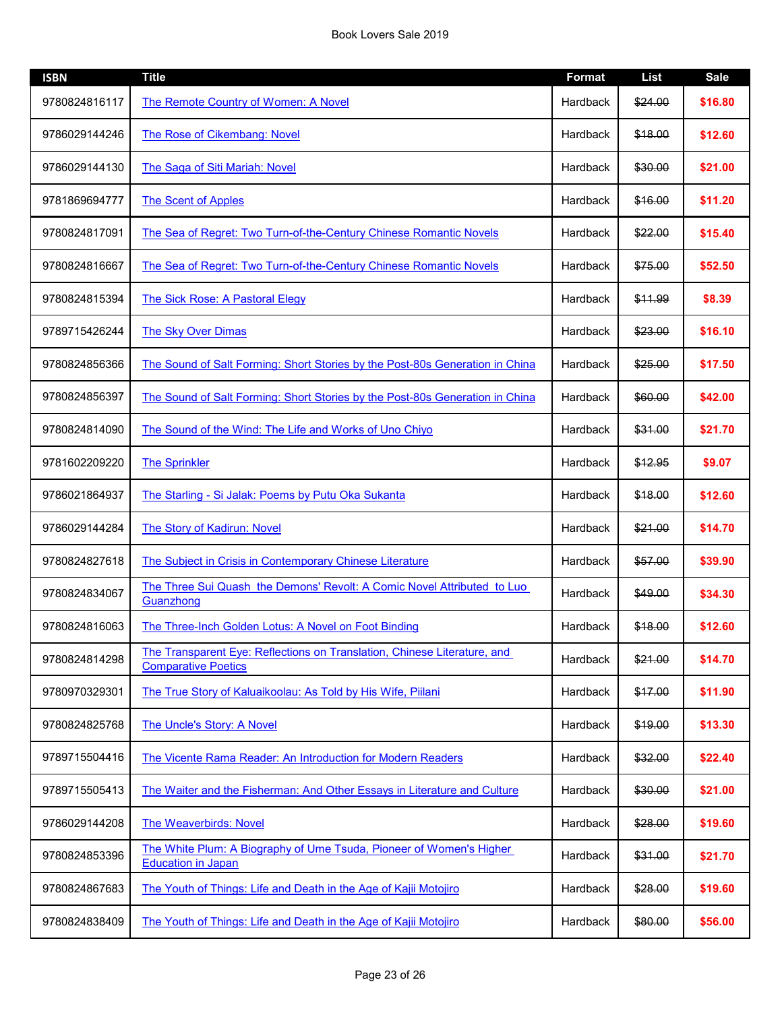| <b>ISBN</b>   | <b>Title</b>                                                                                           | <b>Format</b>   | <b>List</b> | <b>Sale</b> |
|---------------|--------------------------------------------------------------------------------------------------------|-----------------|-------------|-------------|
| 9780824816117 | <b>The Remote Country of Women: A Novel</b>                                                            | Hardback        | \$24.00     | \$16.80     |
| 9786029144246 | The Rose of Cikembang: Novel                                                                           | Hardback        | \$18.00     | \$12.60     |
| 9786029144130 | The Saga of Siti Mariah: Novel                                                                         | Hardback        | \$30.00     | \$21.00     |
| 9781869694777 | <b>The Scent of Apples</b>                                                                             | Hardback        | \$16.00     | \$11.20     |
| 9780824817091 | The Sea of Regret: Two Turn-of-the-Century Chinese Romantic Novels                                     | Hardback        | \$22.00     | \$15.40     |
| 9780824816667 | The Sea of Regret: Two Turn-of-the-Century Chinese Romantic Novels                                     | Hardback        | \$75.00     | \$52.50     |
| 9780824815394 | The Sick Rose: A Pastoral Elegy                                                                        | Hardback        | \$11.99     | \$8.39      |
| 9789715426244 | <b>The Sky Over Dimas</b>                                                                              | Hardback        | \$23.00     | \$16.10     |
| 9780824856366 | The Sound of Salt Forming: Short Stories by the Post-80s Generation in China                           | Hardback        | \$25.00     | \$17.50     |
| 9780824856397 | The Sound of Salt Forming: Short Stories by the Post-80s Generation in China                           | Hardback        | \$60.00     | \$42.00     |
| 9780824814090 | The Sound of the Wind: The Life and Works of Uno Chiyo                                                 | Hardback        | \$31.00     | \$21.70     |
| 9781602209220 | <b>The Sprinkler</b>                                                                                   | Hardback        | \$12.95     | \$9.07      |
| 9786021864937 | The Starling - Si Jalak: Poems by Putu Oka Sukanta                                                     | Hardback        | \$18.00     | \$12.60     |
| 9786029144284 | <b>The Story of Kadirun: Novel</b>                                                                     | <b>Hardback</b> | \$21.00     | \$14.70     |
| 9780824827618 | The Subject in Crisis in Contemporary Chinese Literature                                               | Hardback        | \$57.00     | \$39.90     |
| 9780824834067 | The Three Sui Quash the Demons' Revolt: A Comic Novel Attributed to Luo<br>Guanzhong                   | Hardback        | \$49.00     | \$34.30     |
| 9780824816063 | The Three-Inch Golden Lotus: A Novel on Foot Binding                                                   | Hardback        | \$18.00     | \$12.60     |
| 9780824814298 | The Transparent Eye: Reflections on Translation, Chinese Literature, and<br><b>Comparative Poetics</b> | Hardback        | \$21.00     | \$14.70     |
| 9780970329301 | The True Story of Kaluaikoolau: As Told by His Wife, Piilani                                           | Hardback        | \$17.00     | \$11.90     |
| 9780824825768 | The Uncle's Story: A Novel                                                                             | Hardback        | \$19.00     | \$13.30     |
| 9789715504416 | The Vicente Rama Reader: An Introduction for Modern Readers                                            | Hardback        | \$32.00     | \$22.40     |
| 9789715505413 | The Waiter and the Fisherman: And Other Essays in Literature and Culture                               | Hardback        | \$30.00     | \$21.00     |
| 9786029144208 | <b>The Weaverbirds: Novel</b>                                                                          | Hardback        | \$28.00     | \$19.60     |
| 9780824853396 | The White Plum: A Biography of Ume Tsuda, Pioneer of Women's Higher<br><b>Education in Japan</b>       | Hardback        | \$31.00     | \$21.70     |
| 9780824867683 | The Youth of Things: Life and Death in the Age of Kajii Motojiro                                       | Hardback        | \$28.00     | \$19.60     |
| 9780824838409 | The Youth of Things: Life and Death in the Age of Kajii Motojiro                                       | Hardback        | \$80.00     | \$56.00     |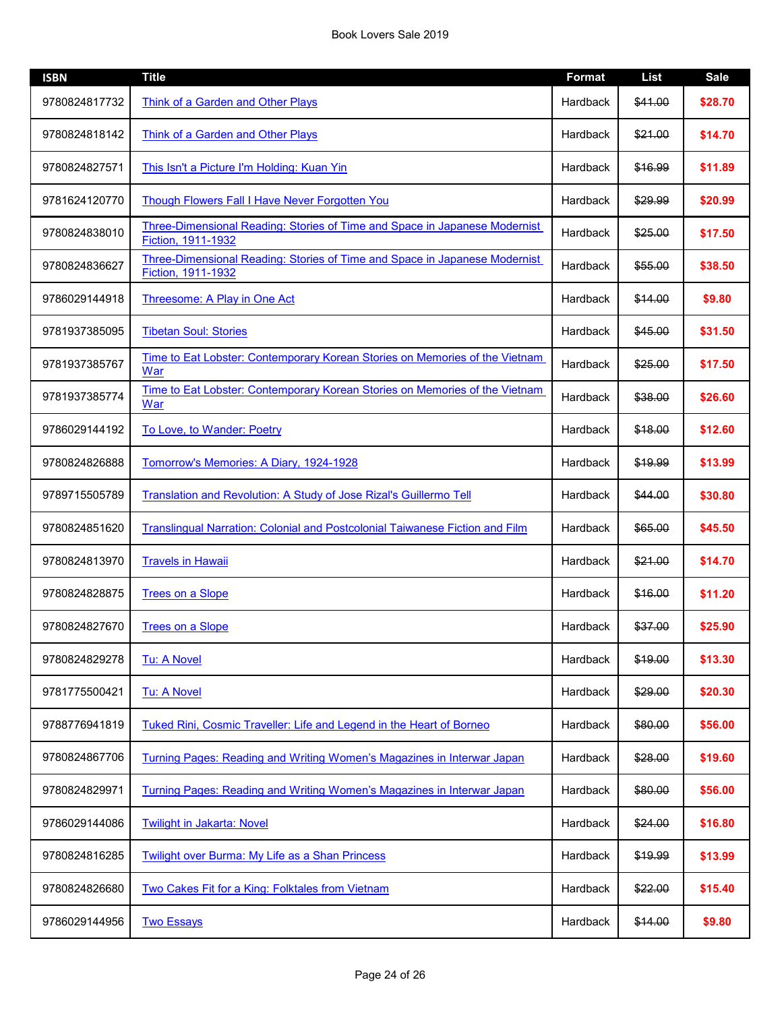| <b>ISBN</b>   | <b>Title</b>                                                                                            | <b>Format</b> | <b>List</b> | <b>Sale</b> |
|---------------|---------------------------------------------------------------------------------------------------------|---------------|-------------|-------------|
| 9780824817732 | Think of a Garden and Other Plays                                                                       | Hardback      | \$41.00     | \$28.70     |
| 9780824818142 | Think of a Garden and Other Plays                                                                       | Hardback      | \$21.00     | \$14.70     |
| 9780824827571 | This Isn't a Picture I'm Holding: Kuan Yin                                                              | Hardback      | \$16.99     | \$11.89     |
| 9781624120770 | Though Flowers Fall I Have Never Forgotten You                                                          | Hardback      | \$29.99     | \$20.99     |
| 9780824838010 | <b>Three-Dimensional Reading: Stories of Time and Space in Japanese Modernist</b><br>Fiction, 1911-1932 | Hardback      | \$25.00     | \$17.50     |
| 9780824836627 | <b>Three-Dimensional Reading: Stories of Time and Space in Japanese Modernist</b><br>Fiction, 1911-1932 | Hardback      | \$55.00     | \$38.50     |
| 9786029144918 | Threesome: A Play in One Act                                                                            | Hardback      | \$14.00     | \$9.80      |
| 9781937385095 | <b>Tibetan Soul: Stories</b>                                                                            | Hardback      | \$45.00     | \$31.50     |
| 9781937385767 | Time to Eat Lobster: Contemporary Korean Stories on Memories of the Vietnam<br>War                      | Hardback      | \$25.00     | \$17.50     |
| 9781937385774 | Time to Eat Lobster: Contemporary Korean Stories on Memories of the Vietnam<br>War                      | Hardback      | \$38.00     | \$26.60     |
| 9786029144192 | To Love, to Wander: Poetry                                                                              | Hardback      | \$18.00     | \$12.60     |
| 9780824826888 | Tomorrow's Memories: A Diary, 1924-1928                                                                 | Hardback      | \$19.99     | \$13.99     |
| 9789715505789 | <b>Translation and Revolution: A Study of Jose Rizal's Guillermo Tell</b>                               | Hardback      | \$44.00     | \$30.80     |
| 9780824851620 | Translingual Narration: Colonial and Postcolonial Taiwanese Fiction and Film                            | Hardback      | \$65.00     | \$45.50     |
| 9780824813970 | <b>Travels in Hawaii</b>                                                                                | Hardback      | \$21.00     | \$14.70     |
| 9780824828875 | <b>Trees on a Slope</b>                                                                                 | Hardback      | \$16.00     | \$11.20     |
| 9780824827670 | <b>Trees on a Slope</b>                                                                                 | Hardback      | \$37.00     | \$25.90     |
| 9780824829278 | <b>Tu: A Novel</b>                                                                                      | Hardback      | \$19.00     | \$13.30     |
| 9781775500421 | <b>Tu: A Novel</b>                                                                                      | Hardback      | \$29.00     | \$20.30     |
| 9788776941819 | Tuked Rini, Cosmic Traveller: Life and Legend in the Heart of Borneo                                    | Hardback      | \$80.00     | \$56.00     |
| 9780824867706 | Turning Pages: Reading and Writing Women's Magazines in Interwar Japan                                  | Hardback      | \$28.00     | \$19.60     |
| 9780824829971 | Turning Pages: Reading and Writing Women's Magazines in Interwar Japan                                  | Hardback      | \$80.00     | \$56.00     |
| 9786029144086 | <b>Twilight in Jakarta: Novel</b>                                                                       | Hardback      | \$24.00     | \$16.80     |
| 9780824816285 | Twilight over Burma: My Life as a Shan Princess                                                         | Hardback      | \$19.99     | \$13.99     |
| 9780824826680 | Two Cakes Fit for a King: Folktales from Vietnam                                                        | Hardback      | \$22.00     | \$15.40     |
| 9786029144956 | <b>Two Essays</b>                                                                                       | Hardback      | \$14.00     | \$9.80      |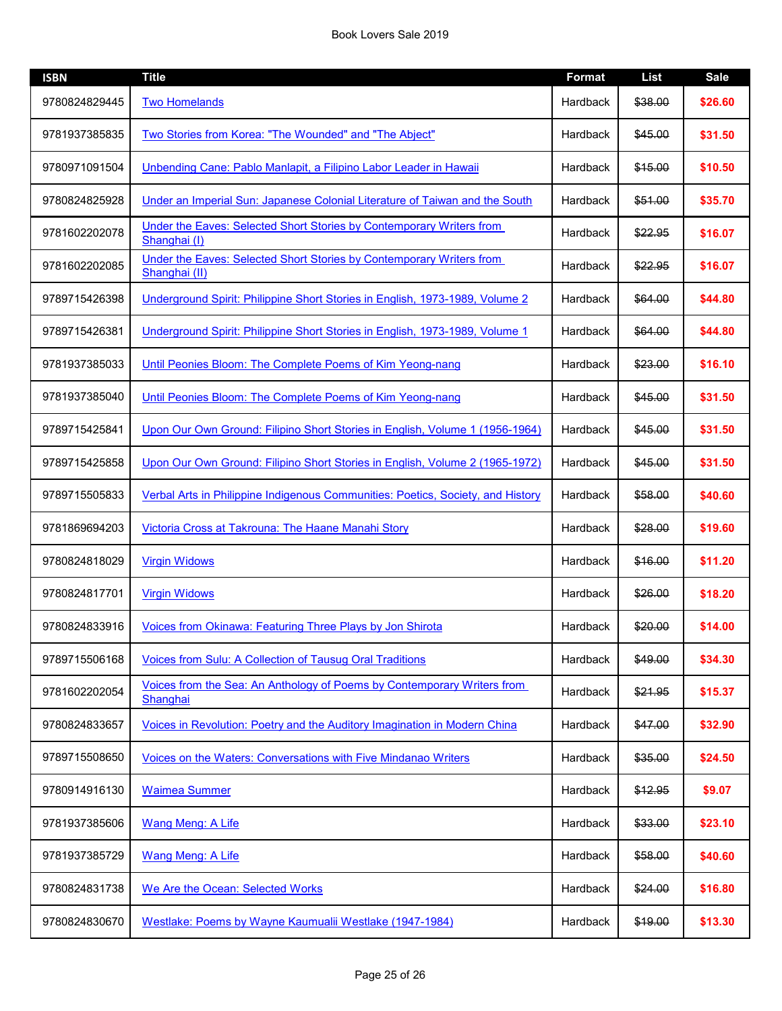| <b>ISBN</b>   | <b>Title</b>                                                                          | <b>Format</b> | List    | <b>Sale</b> |
|---------------|---------------------------------------------------------------------------------------|---------------|---------|-------------|
| 9780824829445 | <b>Two Homelands</b>                                                                  | Hardback      | \$38.00 | \$26.60     |
| 9781937385835 | Two Stories from Korea: "The Wounded" and "The Abject"                                | Hardback      | \$45.00 | \$31.50     |
| 9780971091504 | Unbending Cane: Pablo Manlapit, a Filipino Labor Leader in Hawaii                     | Hardback      | \$15.00 | \$10.50     |
| 9780824825928 | Under an Imperial Sun: Japanese Colonial Literature of Taiwan and the South           | Hardback      | \$51.00 | \$35.70     |
| 9781602202078 | Under the Eaves: Selected Short Stories by Contemporary Writers from<br>Shanghai (I)  | Hardback      | \$22.95 | \$16.07     |
| 9781602202085 | Under the Eaves: Selected Short Stories by Contemporary Writers from<br>Shanghai (II) | Hardback      | \$22.95 | \$16.07     |
| 9789715426398 | Underground Spirit: Philippine Short Stories in English, 1973-1989, Volume 2          | Hardback      | \$64.00 | \$44.80     |
| 9789715426381 | Underground Spirit: Philippine Short Stories in English, 1973-1989, Volume 1          | Hardback      | \$64.00 | \$44.80     |
| 9781937385033 | Until Peonies Bloom: The Complete Poems of Kim Yeong-nang                             | Hardback      | \$23.00 | \$16.10     |
| 9781937385040 | Until Peonies Bloom: The Complete Poems of Kim Yeong-nang                             | Hardback      | \$45.00 | \$31.50     |
| 9789715425841 | Upon Our Own Ground: Filipino Short Stories in English, Volume 1 (1956-1964)          | Hardback      | \$45.00 | \$31.50     |
| 9789715425858 | Upon Our Own Ground: Filipino Short Stories in English, Volume 2 (1965-1972)          | Hardback      | \$45.00 | \$31.50     |
| 9789715505833 | Verbal Arts in Philippine Indigenous Communities: Poetics, Society, and History       | Hardback      | \$58.00 | \$40.60     |
| 9781869694203 | Victoria Cross at Takrouna: The Haane Manahi Story                                    | Hardback      | \$28.00 | \$19.60     |
| 9780824818029 | <b>Virgin Widows</b>                                                                  | Hardback      | \$16.00 | \$11.20     |
| 9780824817701 | <b>Virgin Widows</b>                                                                  | Hardback      | \$26.00 | \$18.20     |
| 9780824833916 | Voices from Okinawa: Featuring Three Plays by Jon Shirota                             | Hardback      | \$20.00 | \$14.00     |
| 9789715506168 | Voices from Sulu: A Collection of Tausug Oral Traditions                              | Hardback      | \$49.00 | \$34.30     |
| 9781602202054 | Voices from the Sea: An Anthology of Poems by Contemporary Writers from<br>Shanghai   | Hardback      | \$21.95 | \$15.37     |
| 9780824833657 | Voices in Revolution: Poetry and the Auditory Imagination in Modern China             | Hardback      | \$47.00 | \$32.90     |
| 9789715508650 | Voices on the Waters: Conversations with Five Mindanao Writers                        | Hardback      | \$35.00 | \$24.50     |
| 9780914916130 | <b>Waimea Summer</b>                                                                  | Hardback      | \$12.95 | \$9.07      |
| 9781937385606 | Wang Meng: A Life                                                                     | Hardback      | \$33.00 | \$23.10     |
| 9781937385729 | <b>Wang Meng: A Life</b>                                                              | Hardback      | \$58.00 | \$40.60     |
| 9780824831738 | We Are the Ocean: Selected Works                                                      | Hardback      | \$24.00 | \$16.80     |
| 9780824830670 | Westlake: Poems by Wayne Kaumualii Westlake (1947-1984)                               | Hardback      | \$19.00 | \$13.30     |